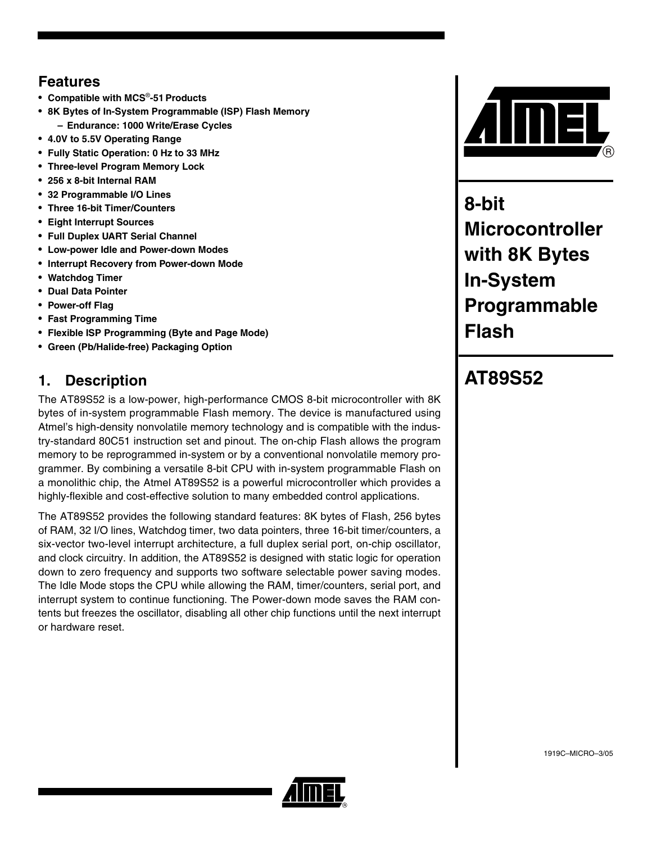# **Features**

- **Compatible with MCS**®**-51Products**
- **8K Bytes of In-System Programmable (ISP) Flash Memory – Endurance: 1000 Write/Erase Cycles**
- **4.0V to 5.5V Operating Range**
- **Fully Static Operation: 0 Hz to 33 MHz**
- **Three-level Program Memory Lock**
- **256 x 8-bit Internal RAM**
- **32 Programmable I/O Lines**
- **Three 16-bit Timer/Counters**
- **Eight Interrupt Sources**
- **Full Duplex UART Serial Channel**
- **Low-power Idle and Power-down Modes**
- **Interrupt Recovery from Power-down Mode**
- **Watchdog Timer**
- **Dual Data Pointer**
- **Power-off Flag**
- **Fast Programming Time**
- **Flexible ISP Programming (Byte and Page Mode)**
- **Green (Pb/Halide-free) Packaging Option**

# **1. Description**

The AT89S52 is a low-power, high-performance CMOS 8-bit microcontroller with 8K bytes of in-system programmable Flash memory. The device is manufactured using Atmel's high-density nonvolatile memory technology and is compatible with the industry-standard 80C51 instruction set and pinout. The on-chip Flash allows the program memory to be reprogrammed in-system or by a conventional nonvolatile memory programmer. By combining a versatile 8-bit CPU with in-system programmable Flash on a monolithic chip, the Atmel AT89S52 is a powerful microcontroller which provides a highly-flexible and cost-effective solution to many embedded control applications.

The AT89S52 provides the following standard features: 8K bytes of Flash, 256 bytes of RAM, 32 I/O lines, Watchdog timer, two data pointers, three 16-bit timer/counters, a six-vector two-level interrupt architecture, a full duplex serial port, on-chip oscillator, and clock circuitry. In addition, the AT89S52 is designed with static logic for operation down to zero frequency and supports two software selectable power saving modes. The Idle Mode stops the CPU while allowing the RAM, timer/counters, serial port, and interrupt system to continue functioning. The Power-down mode saves the RAM contents but freezes the oscillator, disabling all other chip functions until the next interrupt or hardware reset.



**8-bit Microcontroller with 8K Bytes In-System Programmable Flash**

# **AT89S52**

1919C–MICRO–3/05

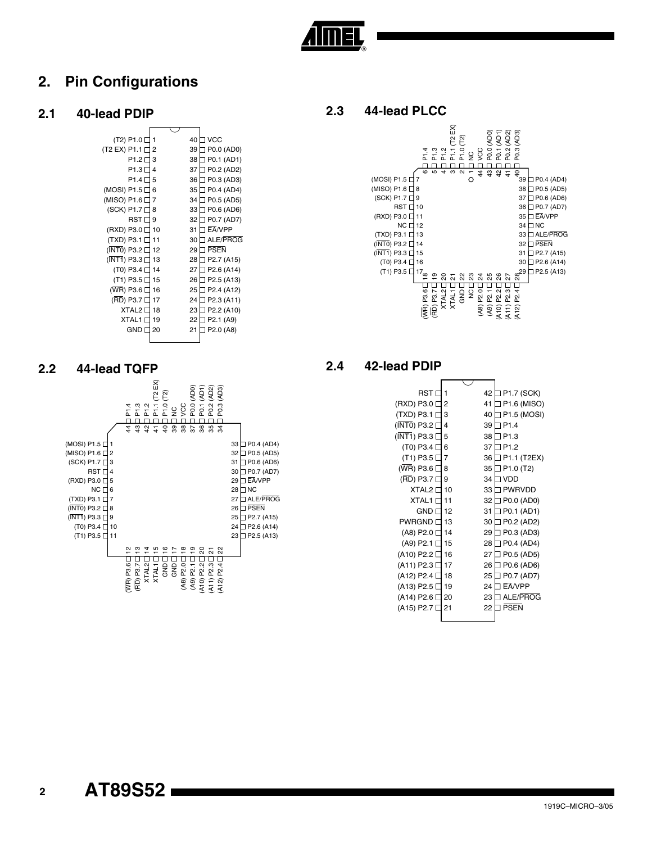

# **2. Pin Configurations**

#### **2.1 40-lead PDIP**



# **2.3 44-lead PLCC**



#### **2.4 42-lead PDIP**

| RST               |    | 42 | P1.7 (SCK)                         |
|-------------------|----|----|------------------------------------|
| (RXD) P3.0 [      | 2  | 41 | P1.6 (MISO)                        |
| (TXD) P3.1 [      | 3  | 40 | P1.5 (MOSI)                        |
| (INTO) P3.2 [     | 4  | 39 | P <sub>1.4</sub>                   |
| (INT1) P3.3 [     | 5  | 38 | P <sub>1.3</sub>                   |
| (T0) P3.4 [       | 6  | 37 | P <sub>12</sub>                    |
| (T1) P3.5 [       | 7  | 36 | P1.1 (T2EX)                        |
| (WR) P3.6 [       | 8  | 35 | P <sub>1.0</sub> (T <sub>2</sub> ) |
| (RD) P3.7         | 9  | 34 | <b>VDD</b>                         |
| XTAL <sub>2</sub> | 10 | 33 | <b>PWRVDD</b>                      |
| XTAL1             | 11 | 32 | P0.0 (AD0)                         |
| <b>GND</b>        | 12 | 31 | P0.1 (AD1)                         |
| <b>PWRGND</b>     | 13 | 30 | P0.2 (AD2)                         |
| (A8) P2.0         | 14 | 29 | P0.3 (AD3)                         |
| (A9) P2.1         | 15 | 28 | P0.4 (AD4)                         |
| (A10) P2.2 [      | 16 | 27 | P0.5 (AD5)                         |
| (A11) P2.3        | 17 | 26 | P0.6 (AD6)                         |
| (A12) P2.4        | 18 | 25 | P0.7 (AD7)                         |
| (A13) P2.5 [      | 19 | 24 | EA/VPP                             |
| (A14) P2.6        | 20 | 23 | ALE/PROG                           |
| (A15) P2.7 l      | 21 | 22 | <b>PSFN</b>                        |
|                   |    |    |                                    |

#### **2.2 44-lead TQFP**



**AT89S52** 

 **2**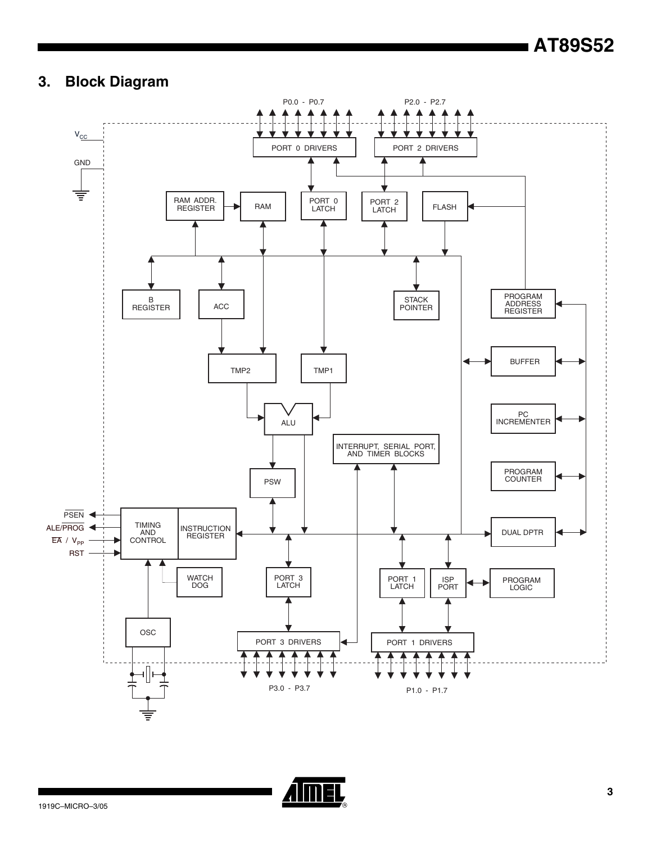# **3. Block Diagram**



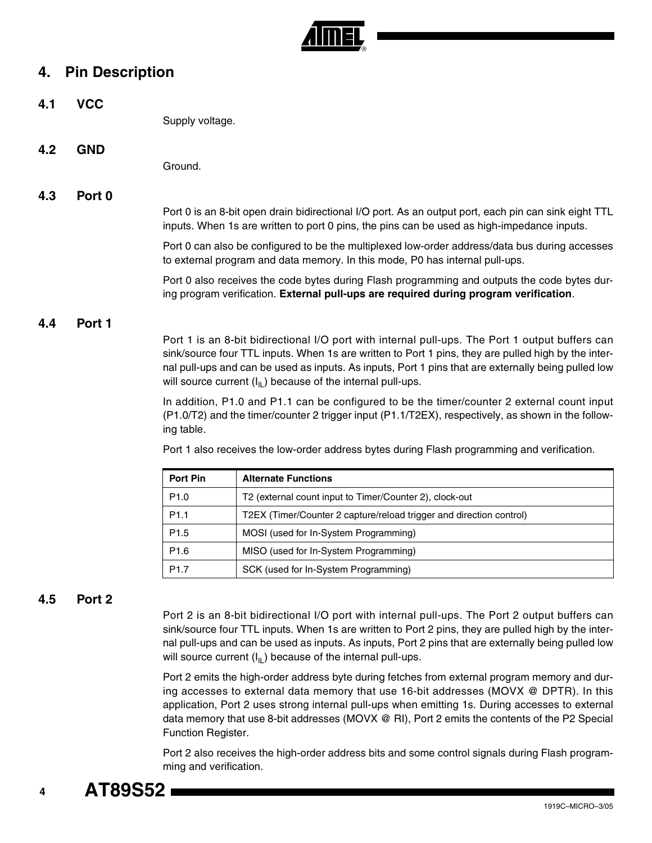

# **4. Pin Description**

**4.1 VCC** Supply voltage. **4.2 GND**

Ground.

#### **4.3 Port 0**

Port 0 is an 8-bit open drain bidirectional I/O port. As an output port, each pin can sink eight TTL inputs. When 1s are written to port 0 pins, the pins can be used as high-impedance inputs.

Port 0 can also be configured to be the multiplexed low-order address/data bus during accesses to external program and data memory. In this mode, P0 has internal pull-ups.

Port 0 also receives the code bytes during Flash programming and outputs the code bytes during program verification. **External pull-ups are required during program verification**.

#### **4.4 Port 1**

Port 1 is an 8-bit bidirectional I/O port with internal pull-ups. The Port 1 output buffers can sink/source four TTL inputs. When 1s are written to Port 1 pins, they are pulled high by the internal pull-ups and can be used as inputs. As inputs, Port 1 pins that are externally being pulled low will source current  $(I_{II})$  because of the internal pull-ups.

In addition, P1.0 and P1.1 can be configured to be the timer/counter 2 external count input (P1.0/T2) and the timer/counter 2 trigger input (P1.1/T2EX), respectively, as shown in the following table.

Port 1 also receives the low-order address bytes during Flash programming and verification.

| Port Pin         | <b>Alternate Functions</b>                                          |
|------------------|---------------------------------------------------------------------|
| P <sub>1.0</sub> | T2 (external count input to Timer/Counter 2), clock-out             |
| P <sub>1.1</sub> | T2EX (Timer/Counter 2 capture/reload trigger and direction control) |
| P <sub>1.5</sub> | MOSI (used for In-System Programming)                               |
| P <sub>1.6</sub> | MISO (used for In-System Programming)                               |
| P <sub>1.7</sub> | SCK (used for In-System Programming)                                |

#### **4.5 Port 2**

Port 2 is an 8-bit bidirectional I/O port with internal pull-ups. The Port 2 output buffers can sink/source four TTL inputs. When 1s are written to Port 2 pins, they are pulled high by the internal pull-ups and can be used as inputs. As inputs, Port 2 pins that are externally being pulled low will source current  $(I_{II})$  because of the internal pull-ups.

Port 2 emits the high-order address byte during fetches from external program memory and during accesses to external data memory that use 16-bit addresses (MOVX @ DPTR). In this application, Port 2 uses strong internal pull-ups when emitting 1s. During accesses to external data memory that use 8-bit addresses (MOVX @ RI), Port 2 emits the contents of the P2 Special Function Register.

Port 2 also receives the high-order address bits and some control signals during Flash programming and verification.

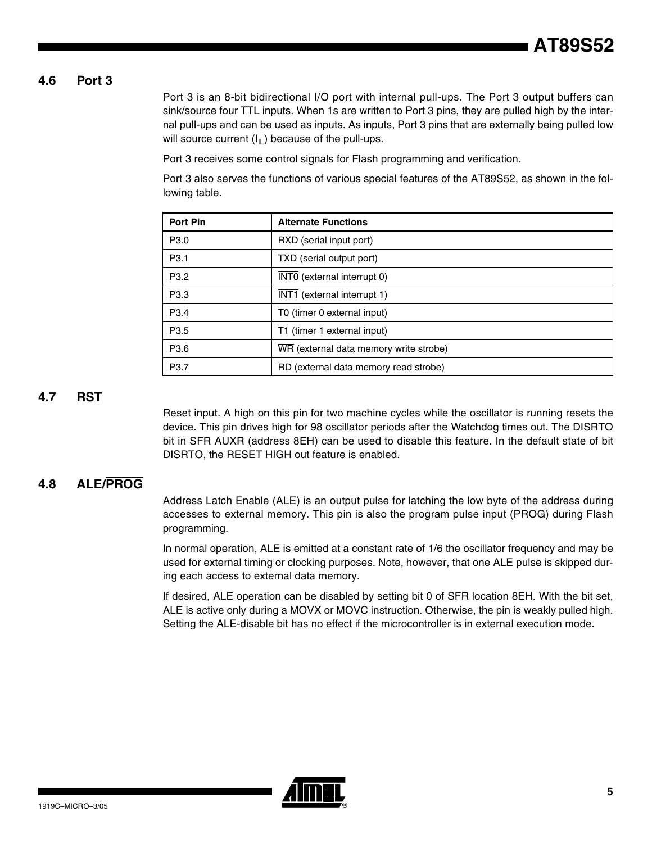#### **4.6 Port 3**

Port 3 is an 8-bit bidirectional I/O port with internal pull-ups. The Port 3 output buffers can sink/source four TTL inputs. When 1s are written to Port 3 pins, they are pulled high by the internal pull-ups and can be used as inputs. As inputs, Port 3 pins that are externally being pulled low will source current  $(I_{\parallel L})$  because of the pull-ups.

Port 3 receives some control signals for Flash programming and verification.

Port 3 also serves the functions of various special features of the AT89S52, as shown in the following table.

| <b>Port Pin</b>  | <b>Alternate Functions</b>             |
|------------------|----------------------------------------|
| P <sub>3.0</sub> | RXD (serial input port)                |
| P <sub>3.1</sub> | TXD (serial output port)               |
| P <sub>3.2</sub> | INTO (external interrupt 0)            |
| P <sub>3.3</sub> | INT1 (external interrupt 1)            |
| P <sub>3.4</sub> | T0 (timer 0 external input)            |
| P <sub>3.5</sub> | T1 (timer 1 external input)            |
| P <sub>3.6</sub> | WR (external data memory write strobe) |
| P <sub>3.7</sub> | RD (external data memory read strobe)  |

#### **4.7 RST**

Reset input. A high on this pin for two machine cycles while the oscillator is running resets the device. This pin drives high for 98 oscillator periods after the Watchdog times out. The DISRTO bit in SFR AUXR (address 8EH) can be used to disable this feature. In the default state of bit DISRTO, the RESET HIGH out feature is enabled.

#### **4.8 ALE/PROG**

Address Latch Enable (ALE) is an output pulse for latching the low byte of the address during accesses to external memory. This pin is also the program pulse input (PROG) during Flash programming.

In normal operation, ALE is emitted at a constant rate of 1/6 the oscillator frequency and may be used for external timing or clocking purposes. Note, however, that one ALE pulse is skipped during each access to external data memory.

If desired, ALE operation can be disabled by setting bit 0 of SFR location 8EH. With the bit set, ALE is active only during a MOVX or MOVC instruction. Otherwise, the pin is weakly pulled high. Setting the ALE-disable bit has no effect if the microcontroller is in external execution mode.

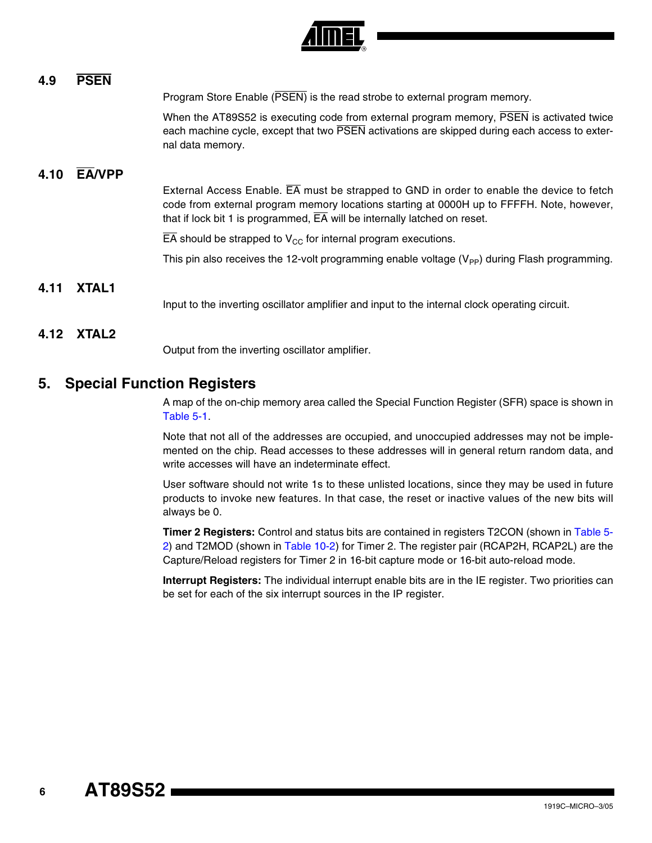

#### **4.9 PSEN**

Program Store Enable (PSEN) is the read strobe to external program memory.

When the AT89S52 is executing code from external program memory, PSEN is activated twice each machine cycle, except that two PSEN activations are skipped during each access to external data memory.

#### **4.10 EA/VPP**

External Access Enable. EA must be strapped to GND in order to enable the device to fetch code from external program memory locations starting at 0000H up to FFFFH. Note, however, that if lock bit 1 is programmed,  $\overline{EA}$  will be internally latched on reset.

 $\overline{EA}$  should be strapped to  $V_{CC}$  for internal program executions.

This pin also receives the 12-volt programming enable voltage  $(V_{\text{PP}})$  during Flash programming.

#### **4.11 XTAL1**

Input to the inverting oscillator amplifier and input to the internal clock operating circuit.

#### **4.12 XTAL2**

Output from the inverting oscillator amplifier.

#### **5. Special Function Registers**

A map of the on-chip memory area called the Special Function Register (SFR) space is shown in [Table 5-1](#page-6-0).

Note that not all of the addresses are occupied, and unoccupied addresses may not be implemented on the chip. Read accesses to these addresses will in general return random data, and write accesses will have an indeterminate effect.

User software should not write 1s to these unlisted locations, since they may be used in future products to invoke new features. In that case, the reset or inactive values of the new bits will always be 0.

**Timer 2 Registers:** Control and status bits are contained in registers T2CON (shown in [Table 5-](#page-7-0) [2\)](#page-7-0) and T2MOD (shown in [Table 10-2](#page-12-0)) for Timer 2. The register pair (RCAP2H, RCAP2L) are the Capture/Reload registers for Timer 2 in 16-bit capture mode or 16-bit auto-reload mode.

**Interrupt Registers:** The individual interrupt enable bits are in the IE register. Two priorities can be set for each of the six interrupt sources in the IP register.

 **6**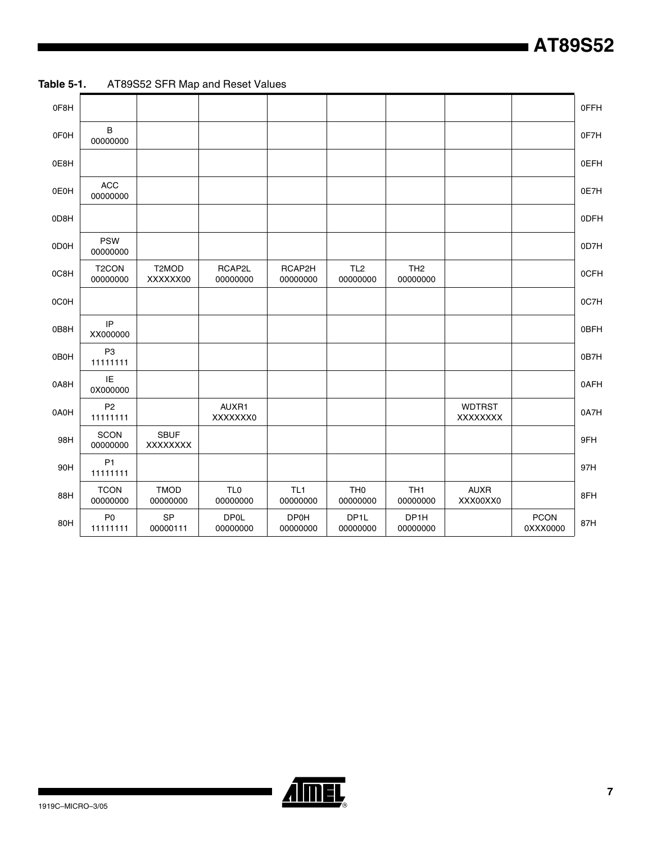| 0F8H |                                |                         |                             |                             |                               |                             |                          |                         | 0FFH |
|------|--------------------------------|-------------------------|-----------------------------|-----------------------------|-------------------------------|-----------------------------|--------------------------|-------------------------|------|
| 0F0H | В<br>00000000                  |                         |                             |                             |                               |                             |                          |                         | 0F7H |
| 0E8H |                                |                         |                             |                             |                               |                             |                          |                         | 0EFH |
| 0E0H | <b>ACC</b><br>00000000         |                         |                             |                             |                               |                             |                          |                         | 0E7H |
| 0D8H |                                |                         |                             |                             |                               |                             |                          |                         | 0DFH |
| 0D0H | <b>PSW</b><br>00000000         |                         |                             |                             |                               |                             |                          |                         | 0D7H |
| 0C8H | T <sub>2</sub> CON<br>00000000 | T2MOD<br>XXXXXX00       | RCAP2L<br>00000000          | RCAP2H<br>00000000          | TL <sub>2</sub><br>00000000   | TH <sub>2</sub><br>00000000 |                          |                         | 0CFH |
| 0C0H |                                |                         |                             |                             |                               |                             |                          |                         | 0C7H |
| 0B8H | IP<br>XX000000                 |                         |                             |                             |                               |                             |                          |                         | 0BFH |
| 0B0H | P <sub>3</sub><br>11111111     |                         |                             |                             |                               |                             |                          |                         | 0B7H |
| 0A8H | IE<br>0X000000                 |                         |                             |                             |                               |                             |                          |                         | 0AFH |
| 0A0H | P <sub>2</sub><br>11111111     |                         | AUXR1<br>XXXXXXX0           |                             |                               |                             | <b>WDTRST</b><br>XXXXXXX |                         | 0A7H |
| 98H  | <b>SCON</b><br>00000000        | <b>SBUF</b><br>XXXXXXX  |                             |                             |                               |                             |                          |                         | 9FH  |
| 90H  | P <sub>1</sub><br>11111111     |                         |                             |                             |                               |                             |                          |                         | 97H  |
| 88H  | <b>TCON</b><br>00000000        | <b>TMOD</b><br>00000000 | TL <sub>0</sub><br>00000000 | TL <sub>1</sub><br>00000000 | TH <sub>0</sub><br>00000000   | TH <sub>1</sub><br>00000000 | <b>AUXR</b><br>XXX00XX0  |                         | 8FH  |
| 80H  | P <sub>0</sub><br>11111111     | SP<br>00000111          | <b>DP0L</b><br>00000000     | <b>DP0H</b><br>00000000     | DP <sub>1</sub> L<br>00000000 | DP1H<br>00000000            |                          | <b>PCON</b><br>0XXX0000 | 87H  |

<span id="page-6-0"></span>**Table 5-1.** AT89S52 SFR Map and Reset Values



▊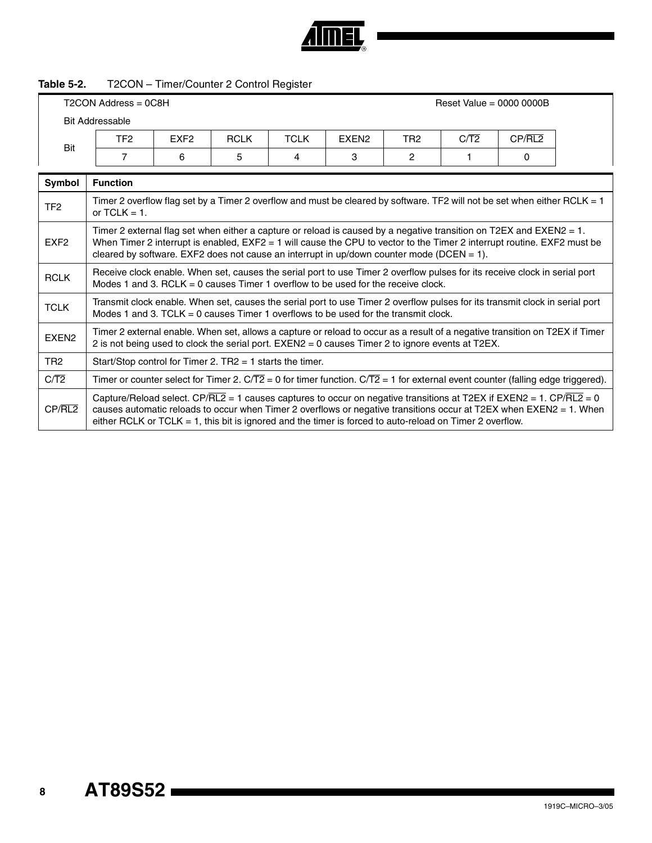

# <span id="page-7-0"></span>**Table 5-2.** T2CON – Timer/Counter 2 Control Register

|                   |                                                                                                                                                                                                                                                                                                                                                        |                  | T2CON Address = 0C8H<br>Reset Value = $0000 0000B$ |             |                   |                 |      |        |  |  |  |  |  |  |
|-------------------|--------------------------------------------------------------------------------------------------------------------------------------------------------------------------------------------------------------------------------------------------------------------------------------------------------------------------------------------------------|------------------|----------------------------------------------------|-------------|-------------------|-----------------|------|--------|--|--|--|--|--|--|
|                   | <b>Bit Addressable</b>                                                                                                                                                                                                                                                                                                                                 |                  |                                                    |             |                   |                 |      |        |  |  |  |  |  |  |
|                   | TF <sub>2</sub>                                                                                                                                                                                                                                                                                                                                        | EXF <sub>2</sub> | <b>RCLK</b>                                        | <b>TCLK</b> | EXEN <sub>2</sub> | TR <sub>2</sub> | C/T2 | CP/RL2 |  |  |  |  |  |  |
| Bit               | $\overline{7}$                                                                                                                                                                                                                                                                                                                                         | 6                | 5                                                  | 4           | 3                 | 2               | 1    | 0      |  |  |  |  |  |  |
| Symbol            | <b>Function</b>                                                                                                                                                                                                                                                                                                                                        |                  |                                                    |             |                   |                 |      |        |  |  |  |  |  |  |
| TF <sub>2</sub>   | Timer 2 overflow flag set by a Timer 2 overflow and must be cleared by software. TF2 will not be set when either RCLK = 1<br>or $TCLK = 1$ .                                                                                                                                                                                                           |                  |                                                    |             |                   |                 |      |        |  |  |  |  |  |  |
| EXF <sub>2</sub>  | Timer 2 external flag set when either a capture or reload is caused by a negative transition on T2EX and EXEN2 = 1.<br>When Timer 2 interrupt is enabled, $EXF2 = 1$ will cause the CPU to vector to the Timer 2 interrupt routine. EXF2 must be<br>cleared by software. EXF2 does not cause an interrupt in up/down counter mode (DCEN = $1$ ).       |                  |                                                    |             |                   |                 |      |        |  |  |  |  |  |  |
| <b>RCLK</b>       | Receive clock enable. When set, causes the serial port to use Timer 2 overflow pulses for its receive clock in serial port<br>Modes 1 and 3. RCLK = 0 causes Timer 1 overflow to be used for the receive clock.                                                                                                                                        |                  |                                                    |             |                   |                 |      |        |  |  |  |  |  |  |
| <b>TCLK</b>       | Transmit clock enable. When set, causes the serial port to use Timer 2 overflow pulses for its transmit clock in serial port<br>Modes 1 and 3. TCLK = 0 causes Timer 1 overflows to be used for the transmit clock.                                                                                                                                    |                  |                                                    |             |                   |                 |      |        |  |  |  |  |  |  |
| EXEN <sub>2</sub> | Timer 2 external enable. When set, allows a capture or reload to occur as a result of a negative transition on T2EX if Timer<br>2 is not being used to clock the serial port. EXEN2 = 0 causes Timer 2 to ignore events at T2EX.                                                                                                                       |                  |                                                    |             |                   |                 |      |        |  |  |  |  |  |  |
| TR <sub>2</sub>   | Start/Stop control for Timer 2. $TR2 = 1$ starts the timer.                                                                                                                                                                                                                                                                                            |                  |                                                    |             |                   |                 |      |        |  |  |  |  |  |  |
| $C/\overline{T2}$ | Timer or counter select for Timer 2. $C/\overline{T2} = 0$ for timer function. $C/\overline{T2} = 1$ for external event counter (falling edge triggered).                                                                                                                                                                                              |                  |                                                    |             |                   |                 |      |        |  |  |  |  |  |  |
| CP/RL2            | Capture/Reload select. CP/RL2 = 1 causes captures to occur on negative transitions at T2EX if EXEN2 = 1. CP/RL2 = 0<br>causes automatic reloads to occur when Timer 2 overflows or negative transitions occur at T2EX when EXEN2 = 1. When<br>either RCLK or TCLK = 1, this bit is ignored and the timer is forced to auto-reload on Timer 2 overflow. |                  |                                                    |             |                   |                 |      |        |  |  |  |  |  |  |

# **AT89S52**

 **8**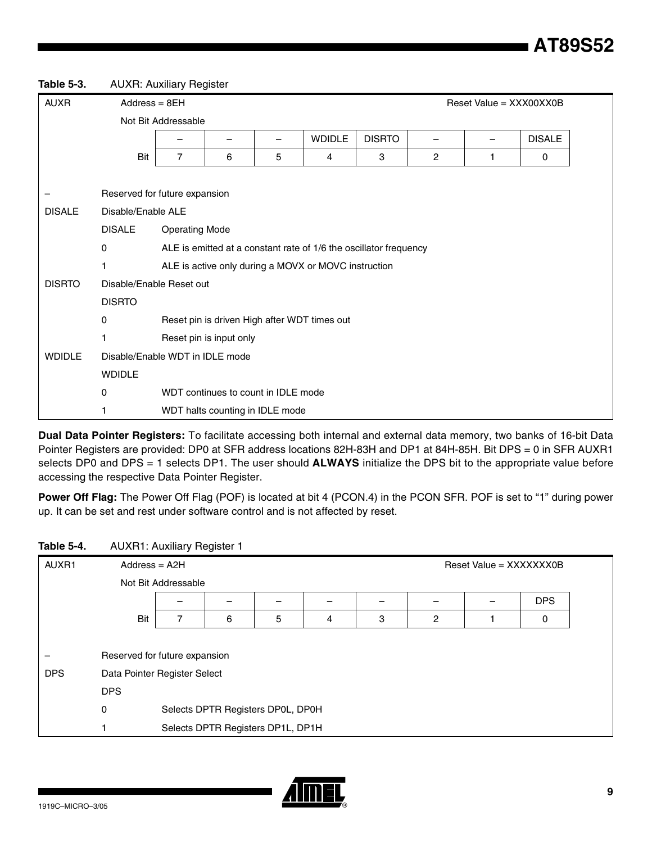**Table 5-3.** AUXR: Auxiliary Register

| <b>AUXR</b>   | $Address = 8EH$<br>Reset Value = XXX00XX0B |                                                                   |                                                      |                                     |                                              |               |                |  |               |  |  |  |  |
|---------------|--------------------------------------------|-------------------------------------------------------------------|------------------------------------------------------|-------------------------------------|----------------------------------------------|---------------|----------------|--|---------------|--|--|--|--|
|               |                                            | Not Bit Addressable                                               |                                                      |                                     |                                              |               |                |  |               |  |  |  |  |
|               |                                            | -                                                                 | -                                                    | —                                   | <b>WDIDLE</b>                                | <b>DISRTO</b> |                |  | <b>DISALE</b> |  |  |  |  |
|               | Bit                                        | $\overline{7}$                                                    | 6                                                    | 5                                   | 4                                            | 3             | $\overline{2}$ |  | 0             |  |  |  |  |
|               |                                            |                                                                   |                                                      |                                     |                                              |               |                |  |               |  |  |  |  |
|               | Reserved for future expansion              |                                                                   |                                                      |                                     |                                              |               |                |  |               |  |  |  |  |
| <b>DISALE</b> | Disable/Enable ALE                         |                                                                   |                                                      |                                     |                                              |               |                |  |               |  |  |  |  |
|               | <b>DISALE</b><br><b>Operating Mode</b>     |                                                                   |                                                      |                                     |                                              |               |                |  |               |  |  |  |  |
|               | 0                                          | ALE is emitted at a constant rate of 1/6 the oscillator frequency |                                                      |                                     |                                              |               |                |  |               |  |  |  |  |
|               | 1                                          |                                                                   | ALE is active only during a MOVX or MOVC instruction |                                     |                                              |               |                |  |               |  |  |  |  |
| <b>DISRTO</b> | Disable/Enable Reset out                   |                                                                   |                                                      |                                     |                                              |               |                |  |               |  |  |  |  |
|               | <b>DISRTO</b>                              |                                                                   |                                                      |                                     |                                              |               |                |  |               |  |  |  |  |
|               | 0                                          |                                                                   |                                                      |                                     | Reset pin is driven High after WDT times out |               |                |  |               |  |  |  |  |
|               |                                            |                                                                   | Reset pin is input only                              |                                     |                                              |               |                |  |               |  |  |  |  |
| <b>WDIDLE</b> | Disable/Enable WDT in IDLE mode            |                                                                   |                                                      |                                     |                                              |               |                |  |               |  |  |  |  |
|               | <b>WDIDLE</b>                              |                                                                   |                                                      |                                     |                                              |               |                |  |               |  |  |  |  |
|               | 0                                          |                                                                   |                                                      | WDT continues to count in IDLE mode |                                              |               |                |  |               |  |  |  |  |
|               |                                            |                                                                   |                                                      | WDT halts counting in IDLE mode     |                                              |               |                |  |               |  |  |  |  |

**Dual Data Pointer Registers:** To facilitate accessing both internal and external data memory, two banks of 16-bit Data Pointer Registers are provided: DP0 at SFR address locations 82H-83H and DP1 at 84H-85H. Bit DPS = 0 in SFR AUXR1 selects DP0 and DPS = 1 selects DP1. The user should **ALWAYS** initialize the DPS bit to the appropriate value before accessing the respective Data Pointer Register.

**Power Off Flag:** The Power Off Flag (POF) is located at bit 4 (PCON.4) in the PCON SFR. POF is set to "1" during power up. It can be set and rest under software control and is not affected by reset.

#### **Table 5-4.** AUXR1: Auxiliary Register 1

| AUXR1      | $Address = A2H$               |   |   |                                   |   | Reset Value = XXXXXXX0B |   |  |   |  |  |  |  |
|------------|-------------------------------|---|---|-----------------------------------|---|-------------------------|---|--|---|--|--|--|--|
|            | Not Bit Addressable           |   |   |                                   |   |                         |   |  |   |  |  |  |  |
|            | <b>DPS</b>                    |   |   |                                   |   |                         |   |  |   |  |  |  |  |
|            | Bit                           | 7 | 6 | 5                                 | 4 | 3                       | 2 |  | 0 |  |  |  |  |
|            |                               |   |   |                                   |   |                         |   |  |   |  |  |  |  |
|            | Reserved for future expansion |   |   |                                   |   |                         |   |  |   |  |  |  |  |
| <b>DPS</b> | Data Pointer Register Select  |   |   |                                   |   |                         |   |  |   |  |  |  |  |
|            | <b>DPS</b>                    |   |   |                                   |   |                         |   |  |   |  |  |  |  |
|            | 0                             |   |   | Selects DPTR Registers DP0L, DP0H |   |                         |   |  |   |  |  |  |  |
|            |                               |   |   | Selects DPTR Registers DP1L, DP1H |   |                         |   |  |   |  |  |  |  |

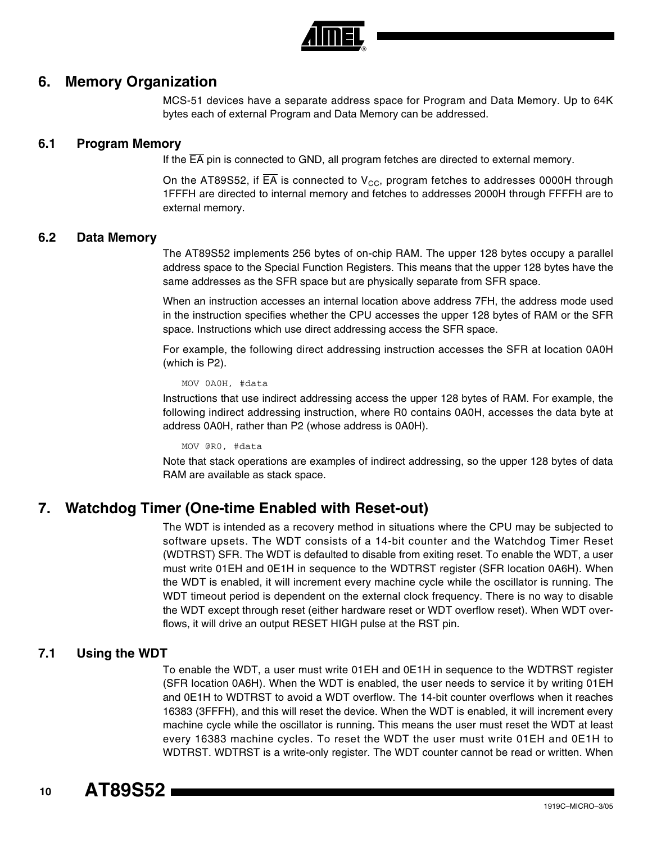

#### **6. Memory Organization**

MCS-51 devices have a separate address space for Program and Data Memory. Up to 64K bytes each of external Program and Data Memory can be addressed.

#### **6.1 Program Memory**

If the EA pin is connected to GND, all program fetches are directed to external memory.

On the AT89S52, if EA is connected to  $V_{CC}$ , program fetches to addresses 0000H through 1FFFH are directed to internal memory and fetches to addresses 2000H through FFFFH are to external memory.

#### **6.2 Data Memory**

The AT89S52 implements 256 bytes of on-chip RAM. The upper 128 bytes occupy a parallel address space to the Special Function Registers. This means that the upper 128 bytes have the same addresses as the SFR space but are physically separate from SFR space.

When an instruction accesses an internal location above address 7FH, the address mode used in the instruction specifies whether the CPU accesses the upper 128 bytes of RAM or the SFR space. Instructions which use direct addressing access the SFR space.

For example, the following direct addressing instruction accesses the SFR at location 0A0H (which is P2).

MOV 0A0H, #data

Instructions that use indirect addressing access the upper 128 bytes of RAM. For example, the following indirect addressing instruction, where R0 contains 0A0H, accesses the data byte at address 0A0H, rather than P2 (whose address is 0A0H).

MOV @R0, #data

Note that stack operations are examples of indirect addressing, so the upper 128 bytes of data RAM are available as stack space.

## **7. Watchdog Timer (One-time Enabled with Reset-out)**

The WDT is intended as a recovery method in situations where the CPU may be subjected to software upsets. The WDT consists of a 14-bit counter and the Watchdog Timer Reset (WDTRST) SFR. The WDT is defaulted to disable from exiting reset. To enable the WDT, a user must write 01EH and 0E1H in sequence to the WDTRST register (SFR location 0A6H). When the WDT is enabled, it will increment every machine cycle while the oscillator is running. The WDT timeout period is dependent on the external clock frequency. There is no way to disable the WDT except through reset (either hardware reset or WDT overflow reset). When WDT overflows, it will drive an output RESET HIGH pulse at the RST pin.

#### **7.1 Using the WDT**

To enable the WDT, a user must write 01EH and 0E1H in sequence to the WDTRST register (SFR location 0A6H). When the WDT is enabled, the user needs to service it by writing 01EH and 0E1H to WDTRST to avoid a WDT overflow. The 14-bit counter overflows when it reaches 16383 (3FFFH), and this will reset the device. When the WDT is enabled, it will increment every machine cycle while the oscillator is running. This means the user must reset the WDT at least every 16383 machine cycles. To reset the WDT the user must write 01EH and 0E1H to WDTRST. WDTRST is a write-only register. The WDT counter cannot be read or written. When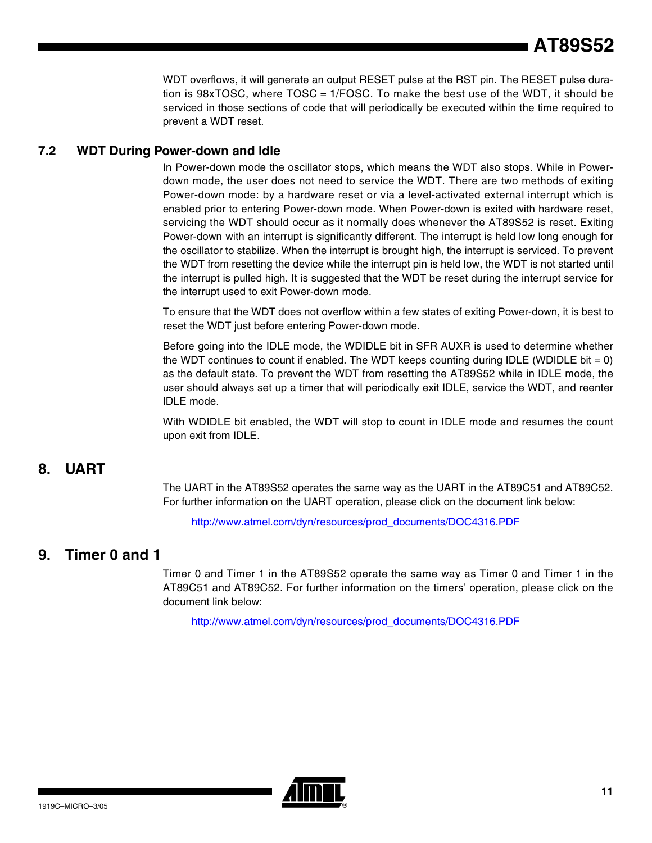WDT overflows, it will generate an output RESET pulse at the RST pin. The RESET pulse duration is 98xTOSC, where TOSC = 1/FOSC. To make the best use of the WDT, it should be serviced in those sections of code that will periodically be executed within the time required to prevent a WDT reset.

#### **7.2 WDT During Power-down and Idle**

In Power-down mode the oscillator stops, which means the WDT also stops. While in Powerdown mode, the user does not need to service the WDT. There are two methods of exiting Power-down mode: by a hardware reset or via a level-activated external interrupt which is enabled prior to entering Power-down mode. When Power-down is exited with hardware reset, servicing the WDT should occur as it normally does whenever the AT89S52 is reset. Exiting Power-down with an interrupt is significantly different. The interrupt is held low long enough for the oscillator to stabilize. When the interrupt is brought high, the interrupt is serviced. To prevent the WDT from resetting the device while the interrupt pin is held low, the WDT is not started until the interrupt is pulled high. It is suggested that the WDT be reset during the interrupt service for the interrupt used to exit Power-down mode.

To ensure that the WDT does not overflow within a few states of exiting Power-down, it is best to reset the WDT just before entering Power-down mode.

Before going into the IDLE mode, the WDIDLE bit in SFR AUXR is used to determine whether the WDT continues to count if enabled. The WDT keeps counting during IDLE (WDIDLE bit  $= 0$ ) as the default state. To prevent the WDT from resetting the AT89S52 while in IDLE mode, the user should always set up a timer that will periodically exit IDLE, service the WDT, and reenter IDLE mode.

With WDIDLE bit enabled, the WDT will stop to count in IDLE mode and resumes the count upon exit from IDLE.

# **8. UART**

The UART in the AT89S52 operates the same way as the UART in the AT89C51 and AT89C52. For further information on the UART operation, please click on the document link below:

[http://www.atmel.com/dyn/resources/prod\\_documents/DOC4316.PDF](http://www.atmel.com/dyn/resources/prod_documents/DOC4316.PDF)

## **9. Timer 0 and 1**

Timer 0 and Timer 1 in the AT89S52 operate the same way as Timer 0 and Timer 1 in the AT89C51 and AT89C52. For further information on the timers' operation, please click on the document link below:

[http://www.atmel.com/dyn/resources/prod\\_documents/DOC4316.PDF](http://www.atmel.com/dyn/resources/prod_documents/DOC4316.PDF)

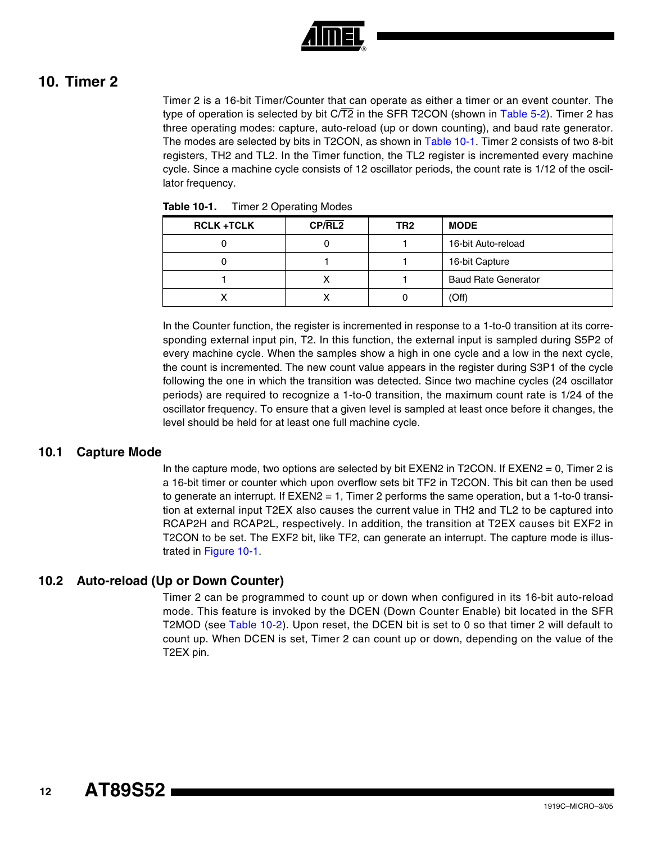

# **10. Timer 2**

Timer 2 is a 16-bit Timer/Counter that can operate as either a timer or an event counter. The type of operation is selected by bit  $C/T2$  in the SFR T2CON (shown in [Table 5-2](#page-7-0)). Timer 2 has three operating modes: capture, auto-reload (up or down counting), and baud rate generator. The modes are selected by bits in T2CON, as shown in [Table 10-1.](#page-11-0) Timer 2 consists of two 8-bit registers, TH2 and TL2. In the Timer function, the TL2 register is incremented every machine cycle. Since a machine cycle consists of 12 oscillator periods, the count rate is 1/12 of the oscillator frequency.

| <b>RCLK +TCLK</b> | CP/RL2 | TR2 | <b>MODE</b>                |
|-------------------|--------|-----|----------------------------|
|                   |        |     | 16-bit Auto-reload         |
|                   |        |     | 16-bit Capture             |
|                   |        |     | <b>Baud Rate Generator</b> |
|                   |        |     | (Off)                      |

<span id="page-11-0"></span>**Table 10-1.** Timer 2 Operating Modes

In the Counter function, the register is incremented in response to a 1-to-0 transition at its corresponding external input pin, T2. In this function, the external input is sampled during S5P2 of every machine cycle. When the samples show a high in one cycle and a low in the next cycle, the count is incremented. The new count value appears in the register during S3P1 of the cycle following the one in which the transition was detected. Since two machine cycles (24 oscillator periods) are required to recognize a 1-to-0 transition, the maximum count rate is 1/24 of the oscillator frequency. To ensure that a given level is sampled at least once before it changes, the level should be held for at least one full machine cycle.

#### **10.1 Capture Mode**

In the capture mode, two options are selected by bit  $EXEN2$  in T2CON. If  $EXEN2 = 0$ , Timer 2 is a 16-bit timer or counter which upon overflow sets bit TF2 in T2CON. This bit can then be used to generate an interrupt. If EXEN2 = 1, Timer 2 performs the same operation, but a 1-to-0 transition at external input T2EX also causes the current value in TH2 and TL2 to be captured into RCAP2H and RCAP2L, respectively. In addition, the transition at T2EX causes bit EXF2 in T2CON to be set. The EXF2 bit, like TF2, can generate an interrupt. The capture mode is illustrated in [Figure 10-1.](#page-12-1)

#### **10.2 Auto-reload (Up or Down Counter)**

Timer 2 can be programmed to count up or down when configured in its 16-bit auto-reload mode. This feature is invoked by the DCEN (Down Counter Enable) bit located in the SFR T2MOD (see [Table 10-2](#page-12-0)). Upon reset, the DCEN bit is set to 0 so that timer 2 will default to count up. When DCEN is set, Timer 2 can count up or down, depending on the value of the T2EX pin.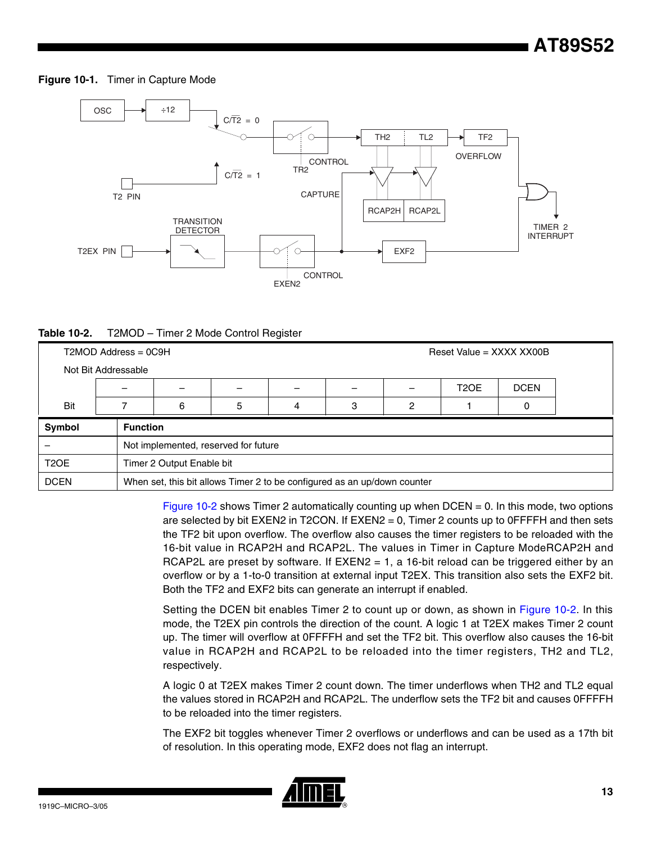#### <span id="page-12-1"></span>**Figure 10-1.** Timer in Capture Mode



<span id="page-12-0"></span>

| Table 10-2. |  | T2MOD - Timer 2 Mode Control Register |  |  |
|-------------|--|---------------------------------------|--|--|
|-------------|--|---------------------------------------|--|--|

|                     | $T2MOD$ Address = $0C9H$         |                                                                          |   |   |   |   | Reset Value = $XXX$ XXX $X$ |   |  |  |  |
|---------------------|----------------------------------|--------------------------------------------------------------------------|---|---|---|---|-----------------------------|---|--|--|--|
| Not Bit Addressable |                                  |                                                                          |   |   |   |   |                             |   |  |  |  |
|                     | T <sub>2</sub> OE<br><b>DCEN</b> |                                                                          |   |   |   |   |                             |   |  |  |  |
| Bit                 |                                  | 6                                                                        | 5 | 4 | 3 | 2 |                             | 0 |  |  |  |
| Symbol              | <b>Function</b>                  |                                                                          |   |   |   |   |                             |   |  |  |  |
|                     |                                  | Not implemented, reserved for future                                     |   |   |   |   |                             |   |  |  |  |
| T <sub>2</sub> OE   |                                  | Timer 2 Output Enable bit                                                |   |   |   |   |                             |   |  |  |  |
| <b>DCEN</b>         |                                  | When set, this bit allows Timer 2 to be configured as an up/down counter |   |   |   |   |                             |   |  |  |  |

[Figure 10-2](#page-13-0) shows Timer 2 automatically counting up when  $DCEN = 0$ . In this mode, two options are selected by bit EXEN2 in T2CON. If EXEN2 = 0, Timer 2 counts up to 0FFFFH and then sets the TF2 bit upon overflow. The overflow also causes the timer registers to be reloaded with the 16-bit value in RCAP2H and RCAP2L. The values in Timer in Capture ModeRCAP2H and RCAP2L are preset by software. If  $EXEN2 = 1$ , a 16-bit reload can be triggered either by an overflow or by a 1-to-0 transition at external input T2EX. This transition also sets the EXF2 bit. Both the TF2 and EXF2 bits can generate an interrupt if enabled.

Setting the DCEN bit enables Timer 2 to count up or down, as shown in [Figure 10-2](#page-13-0). In this mode, the T2EX pin controls the direction of the count. A logic 1 at T2EX makes Timer 2 count up. The timer will overflow at 0FFFFH and set the TF2 bit. This overflow also causes the 16-bit value in RCAP2H and RCAP2L to be reloaded into the timer registers, TH2 and TL2, respectively.

A logic 0 at T2EX makes Timer 2 count down. The timer underflows when TH2 and TL2 equal the values stored in RCAP2H and RCAP2L. The underflow sets the TF2 bit and causes 0FFFFH to be reloaded into the timer registers.

The EXF2 bit toggles whenever Timer 2 overflows or underflows and can be used as a 17th bit of resolution. In this operating mode, EXF2 does not flag an interrupt.

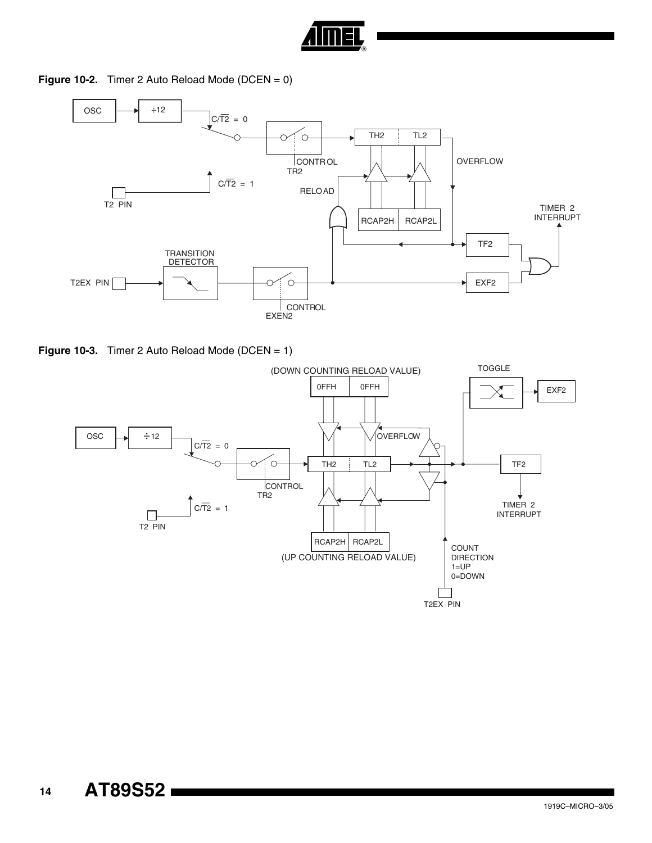

<span id="page-13-0"></span>**Figure 10-2.** Timer 2 Auto Reload Mode (DCEN = 0)



**Figure 10-3.** Timer 2 Auto Reload Mode (DCEN = 1)

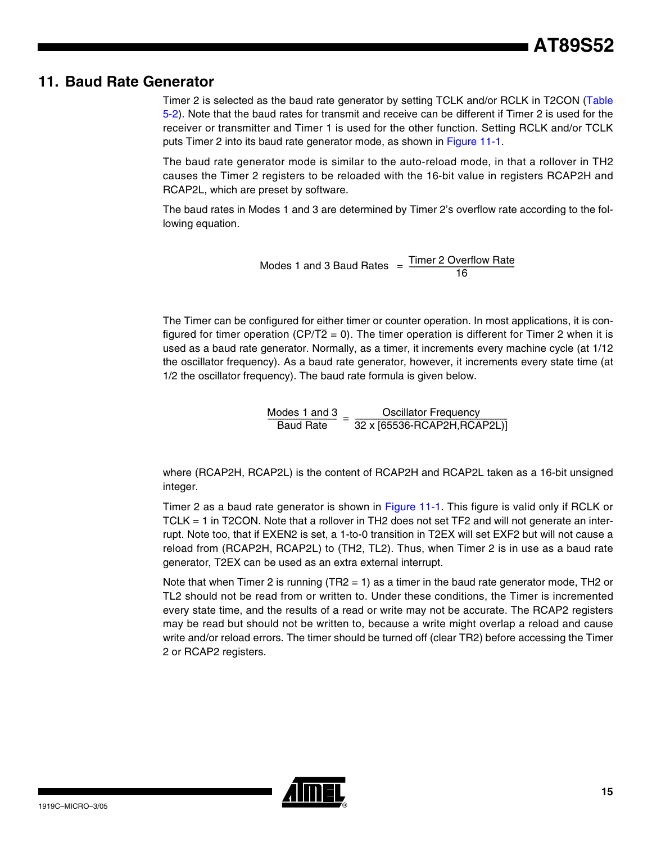# **11. Baud Rate Generator**

Timer 2 is selected as the baud rate generator by setting TCLK and/or RCLK in T2CON ([Table](#page-7-0) [5-2](#page-7-0)). Note that the baud rates for transmit and receive can be different if Timer 2 is used for the receiver or transmitter and Timer 1 is used for the other function. Setting RCLK and/or TCLK puts Timer 2 into its baud rate generator mode, as shown in [Figure 11-1.](#page-15-0)

The baud rate generator mode is similar to the auto-reload mode, in that a rollover in TH2 causes the Timer 2 registers to be reloaded with the 16-bit value in registers RCAP2H and RCAP2L, which are preset by software.

The baud rates in Modes 1 and 3 are determined by Timer 2's overflow rate according to the following equation.

Modes 1 and 3 Baud Rates  $=$   $\frac{Timer 2$  Overflow Rate

The Timer can be configured for either timer or counter operation. In most applications, it is configured for timer operation (CP/ $\overline{T2} = 0$ ). The timer operation is different for Timer 2 when it is used as a baud rate generator. Normally, as a timer, it increments every machine cycle (at 1/12 the oscillator frequency). As a baud rate generator, however, it increments every state time (at 1/2 the oscillator frequency). The baud rate formula is given below.

 $\frac{Modes\ 1\ and\ 3}{Baud\ Rate} = \frac{Oscillator\ Frequency}{32\times[65536\text{-RCAP2H},RCAP2L)]}$ 

where (RCAP2H, RCAP2L) is the content of RCAP2H and RCAP2L taken as a 16-bit unsigned integer.

Timer 2 as a baud rate generator is shown in [Figure 11-1](#page-15-0). This figure is valid only if RCLK or TCLK = 1 in T2CON. Note that a rollover in TH2 does not set TF2 and will not generate an interrupt. Note too, that if EXEN2 is set, a 1-to-0 transition in T2EX will set EXF2 but will not cause a reload from (RCAP2H, RCAP2L) to (TH2, TL2). Thus, when Timer 2 is in use as a baud rate generator, T2EX can be used as an extra external interrupt.

Note that when Timer 2 is running (TR2 = 1) as a timer in the baud rate generator mode, TH2 or TL2 should not be read from or written to. Under these conditions, the Timer is incremented every state time, and the results of a read or write may not be accurate. The RCAP2 registers may be read but should not be written to, because a write might overlap a reload and cause write and/or reload errors. The timer should be turned off (clear TR2) before accessing the Timer 2 or RCAP2 registers.

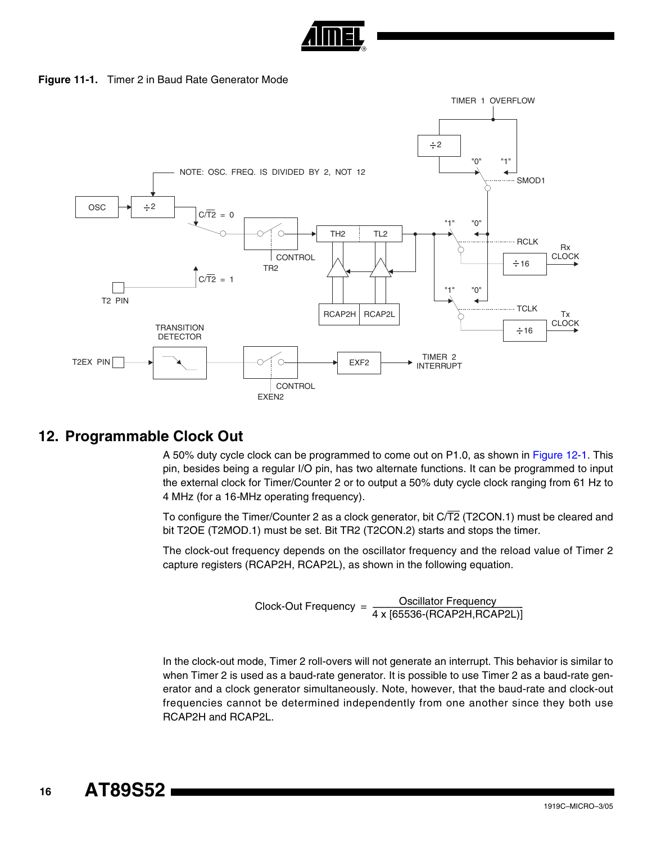

**Figure 11-1.** Timer 2 in Baud Rate Generator Mode

<span id="page-15-0"></span>

## **12. Programmable Clock Out**

A 50% duty cycle clock can be programmed to come out on P1.0, as shown in [Figure 12-1.](#page-16-0) This pin, besides being a regular I/O pin, has two alternate functions. It can be programmed to input the external clock for Timer/Counter 2 or to output a 50% duty cycle clock ranging from 61 Hz to 4 MHz (for a 16*-*MHz operating frequency).

To configure the Timer/Counter 2 as a clock generator, bit C/T2 (T2CON.1) must be cleared and bit T2OE (T2MOD.1) must be set. Bit TR2 (T2CON.2) starts and stops the timer.

The clock-out frequency depends on the oscillator frequency and the reload value of Timer 2 capture registers (RCAP2H, RCAP2L), as shown in the following equation.

$$
Clock-Out Frequency = \frac{Oscillator Frequency}{4 \times [65536-(RCAP2H,RCAP2L)]}
$$

In the clock-out mode, Timer 2 roll-overs will not generate an interrupt. This behavior is similar to when Timer 2 is used as a baud-rate generator. It is possible to use Timer 2 as a baud-rate generator and a clock generator simultaneously. Note, however, that the baud-rate and clock-out frequencies cannot be determined independently from one another since they both use RCAP2H and RCAP2L.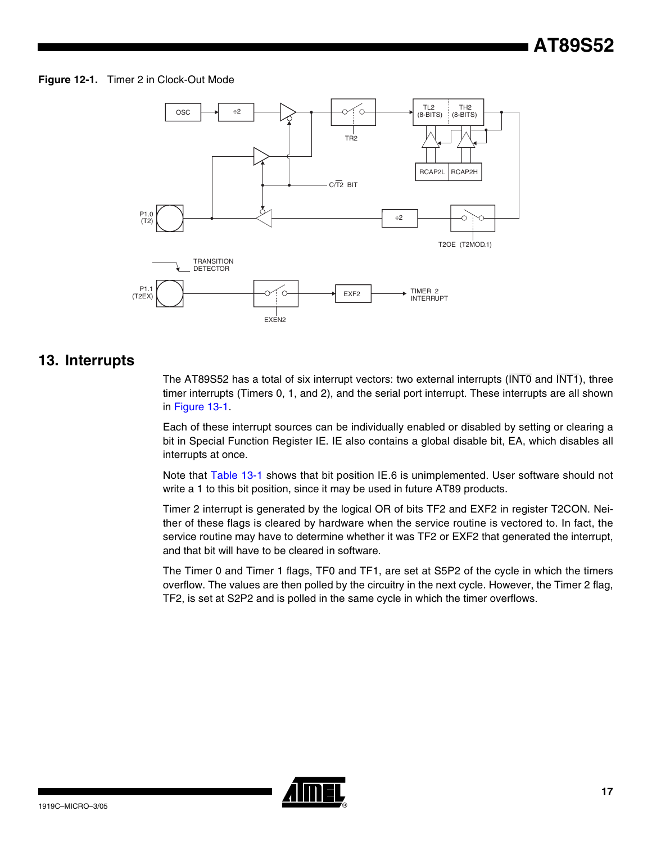#### <span id="page-16-0"></span>**Figure 12-1.** Timer 2 in Clock-Out Mode



## **13. Interrupts**

The AT89S52 has a total of six interrupt vectors: two external interrupts ( $\overline{\text{INT0}}$  and  $\overline{\text{INT1}}$ ), three timer interrupts (Timers 0, 1, and 2), and the serial port interrupt. These interrupts are all shown in [Figure 13-1.](#page-17-0)

Each of these interrupt sources can be individually enabled or disabled by setting or clearing a bit in Special Function Register IE. IE also contains a global disable bit, EA, which disables all interrupts at once.

Note that [Table 13-1](#page-17-1) shows that bit position IE.6 is unimplemented. User software should not write a 1 to this bit position, since it may be used in future AT89 products.

Timer 2 interrupt is generated by the logical OR of bits TF2 and EXF2 in register T2CON. Neither of these flags is cleared by hardware when the service routine is vectored to. In fact, the service routine may have to determine whether it was TF2 or EXF2 that generated the interrupt, and that bit will have to be cleared in software.

The Timer 0 and Timer 1 flags, TF0 and TF1, are set at S5P2 of the cycle in which the timers overflow. The values are then polled by the circuitry in the next cycle. However, the Timer 2 flag, TF2, is set at S2P2 and is polled in the same cycle in which the timer overflows.

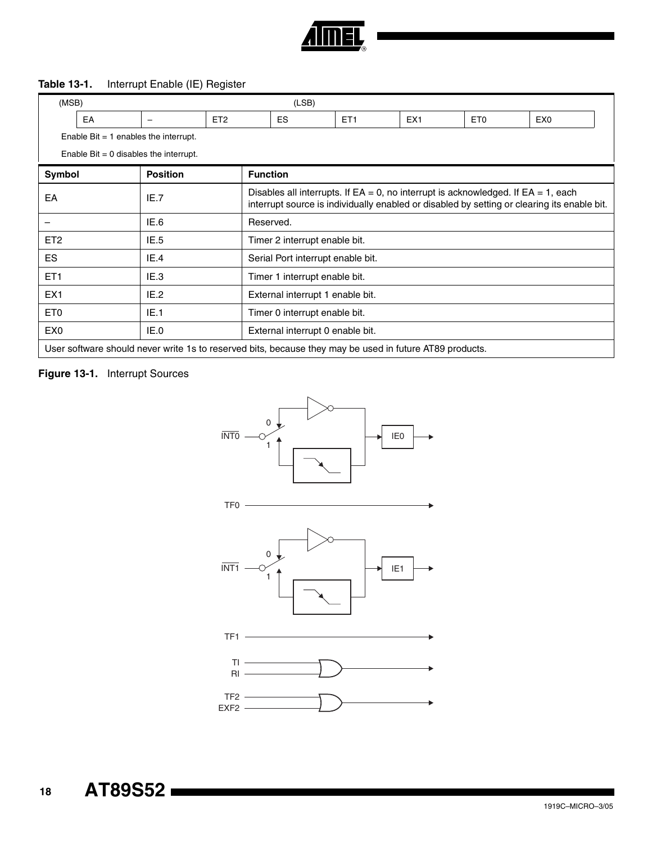

#### <span id="page-17-1"></span>**Table 13-1.** Interrupt Enable (IE) Register

| (MSB)<br>(LSB)  |                                         |                                                                                                         |                 |                                                                                                                                                                                        |                                   |                 |                 |                 |                 |  |  |
|-----------------|-----------------------------------------|---------------------------------------------------------------------------------------------------------|-----------------|----------------------------------------------------------------------------------------------------------------------------------------------------------------------------------------|-----------------------------------|-----------------|-----------------|-----------------|-----------------|--|--|
|                 | EA                                      | $\overline{\phantom{0}}$                                                                                | ET <sub>2</sub> |                                                                                                                                                                                        | <b>ES</b>                         | ET <sub>1</sub> | EX <sub>1</sub> | ET <sub>0</sub> | EX <sub>0</sub> |  |  |
|                 | Enable Bit $= 1$ enables the interrupt. |                                                                                                         |                 |                                                                                                                                                                                        |                                   |                 |                 |                 |                 |  |  |
|                 | Enable Bit = 0 disables the interrupt.  |                                                                                                         |                 |                                                                                                                                                                                        |                                   |                 |                 |                 |                 |  |  |
| Symbol          |                                         | <b>Position</b>                                                                                         |                 | <b>Function</b>                                                                                                                                                                        |                                   |                 |                 |                 |                 |  |  |
| EA              |                                         | IE.7                                                                                                    |                 | Disables all interrupts. If $EA = 0$ , no interrupt is acknowledged. If $EA = 1$ , each<br>interrupt source is individually enabled or disabled by setting or clearing its enable bit. |                                   |                 |                 |                 |                 |  |  |
|                 |                                         | IE.6                                                                                                    |                 | Reserved.                                                                                                                                                                              |                                   |                 |                 |                 |                 |  |  |
| ET <sub>2</sub> |                                         | IE.5                                                                                                    |                 |                                                                                                                                                                                        | Timer 2 interrupt enable bit.     |                 |                 |                 |                 |  |  |
| ES.             |                                         | IE.4                                                                                                    |                 |                                                                                                                                                                                        | Serial Port interrupt enable bit. |                 |                 |                 |                 |  |  |
| ET <sub>1</sub> |                                         | IE.3                                                                                                    |                 |                                                                                                                                                                                        | Timer 1 interrupt enable bit.     |                 |                 |                 |                 |  |  |
| EX <sub>1</sub> |                                         | IE.2                                                                                                    |                 |                                                                                                                                                                                        | External interrupt 1 enable bit.  |                 |                 |                 |                 |  |  |
| ET <sub>0</sub> |                                         | IE.1                                                                                                    |                 | Timer 0 interrupt enable bit.                                                                                                                                                          |                                   |                 |                 |                 |                 |  |  |
| EX <sub>0</sub> |                                         | IE.0                                                                                                    |                 | External interrupt 0 enable bit.                                                                                                                                                       |                                   |                 |                 |                 |                 |  |  |
|                 |                                         | User software should never write 1s to reserved bits, because they may be used in future AT89 products. |                 |                                                                                                                                                                                        |                                   |                 |                 |                 |                 |  |  |

#### <span id="page-17-0"></span>**Figure 13-1.** Interrupt Sources



 **18 AT89S52**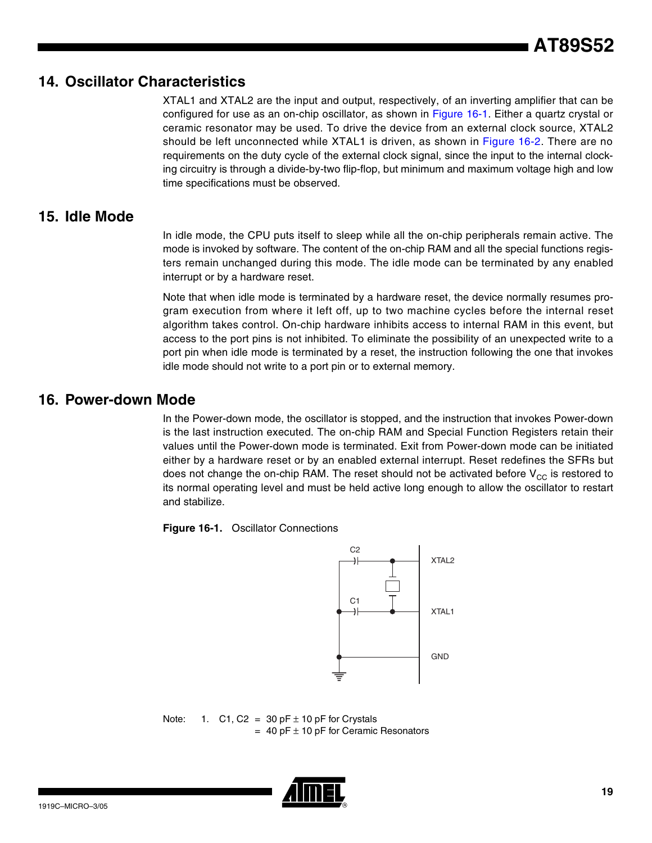# **14. Oscillator Characteristics**

XTAL1 and XTAL2 are the input and output, respectively, of an inverting amplifier that can be configured for use as an on-chip oscillator, as shown in [Figure 16-1.](#page-18-0) Either a quartz crystal or ceramic resonator may be used. To drive the device from an external clock source, XTAL2 should be left unconnected while XTAL1 is driven, as shown in [Figure 16-2](#page-19-0). There are no requirements on the duty cycle of the external clock signal, since the input to the internal clocking circuitry is through a divide-by-two flip-flop, but minimum and maximum voltage high and low time specifications must be observed.

# **15. Idle Mode**

In idle mode, the CPU puts itself to sleep while all the on-chip peripherals remain active. The mode is invoked by software. The content of the on-chip RAM and all the special functions registers remain unchanged during this mode. The idle mode can be terminated by any enabled interrupt or by a hardware reset.

Note that when idle mode is terminated by a hardware reset, the device normally resumes program execution from where it left off, up to two machine cycles before the internal reset algorithm takes control. On-chip hardware inhibits access to internal RAM in this event, but access to the port pins is not inhibited. To eliminate the possibility of an unexpected write to a port pin when idle mode is terminated by a reset, the instruction following the one that invokes idle mode should not write to a port pin or to external memory.

# **16. Power-down Mode**

In the Power-down mode, the oscillator is stopped, and the instruction that invokes Power-down is the last instruction executed. The on-chip RAM and Special Function Registers retain their values until the Power-down mode is terminated. Exit from Power-down mode can be initiated either by a hardware reset or by an enabled external interrupt. Reset redefines the SFRs but does not change the on-chip RAM. The reset should not be activated before  $V_{CC}$  is restored to its normal operating level and must be held active long enough to allow the oscillator to restart and stabilize.

<span id="page-18-0"></span>**Figure 16-1.** Oscillator Connections



Note: 1. C1, C2 = 30 pF  $\pm$  10 pF for Crystals  $= 40$  pF  $\pm$  10 pF for Ceramic Resonators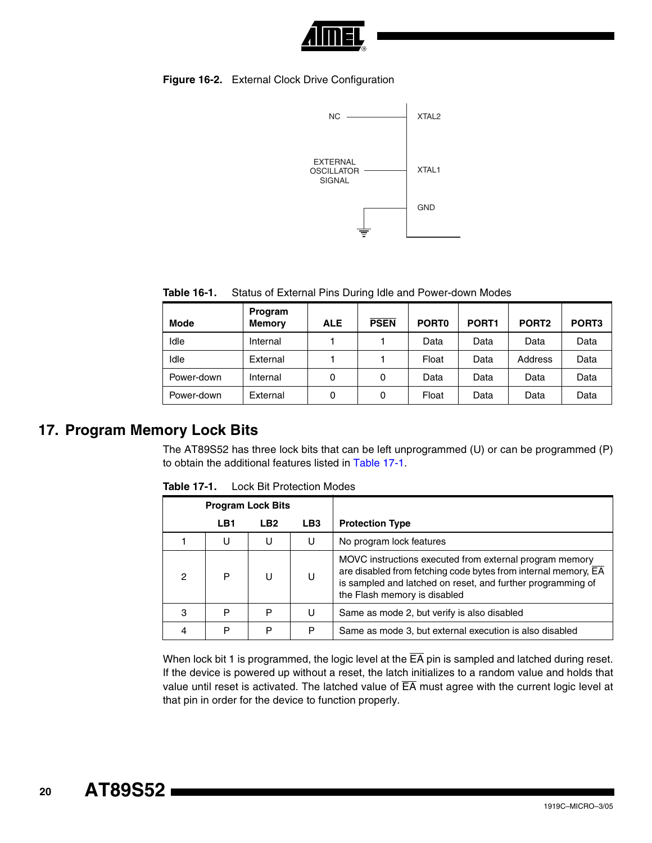

#### <span id="page-19-0"></span>**Figure 16-2.** External Clock Drive Configuration



**Table 16-1.** Status of External Pins During Idle and Power-down Modes

| <b>Mode</b> | Program<br><b>Memory</b> | <b>ALE</b> | <b>PSEN</b> | PORT <sub>0</sub> | PORT <sub>1</sub> | PORT <sub>2</sub> | PORT <sub>3</sub> |
|-------------|--------------------------|------------|-------------|-------------------|-------------------|-------------------|-------------------|
| Idle        | Internal                 |            |             | Data              | Data              | Data              | Data              |
| Idle        | External                 |            |             | Float             | Data              | <b>Address</b>    | Data              |
| Power-down  | Internal                 | 0          | 0           | Data              | Data              | Data              | Data              |
| Power-down  | External                 | 0          | 0           | Float             | Data              | Data              | Data              |

## **17. Program Memory Lock Bits**

The AT89S52 has three lock bits that can be left unprogrammed (U) or can be programmed (P) to obtain the additional features listed in [Table 17-1.](#page-19-1)

| <b>Program Lock Bits</b> |     |                 |                 |                                                                                                                                                                                                                          |
|--------------------------|-----|-----------------|-----------------|--------------------------------------------------------------------------------------------------------------------------------------------------------------------------------------------------------------------------|
|                          | LB1 | LB <sub>2</sub> | LB <sub>3</sub> | <b>Protection Type</b>                                                                                                                                                                                                   |
|                          | U   | U               | U               | No program lock features                                                                                                                                                                                                 |
| 2                        | P   | U               | U               | MOVC instructions executed from external program memory<br>are disabled from fetching code bytes from internal memory, EA<br>is sampled and latched on reset, and further programming of<br>the Flash memory is disabled |
| З                        | P   | P               | U               | Same as mode 2, but verify is also disabled                                                                                                                                                                              |
|                          | P   | P               | P               | Same as mode 3, but external execution is also disabled                                                                                                                                                                  |

<span id="page-19-1"></span>**Table 17-1.** Lock Bit Protection Modes

When lock bit 1 is programmed, the logic level at the  $\overline{EA}$  pin is sampled and latched during reset. If the device is powered up without a reset, the latch initializes to a random value and holds that value until reset is activated. The latched value of  $\overline{\mathsf{EA}}$  must agree with the current logic level at that pin in order for the device to function properly.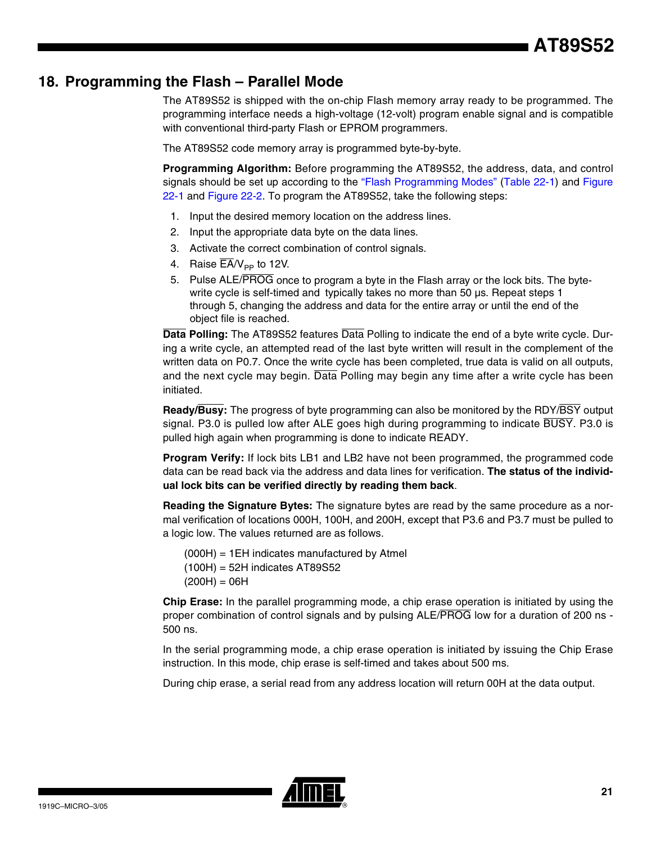# **18. Programming the Flash – Parallel Mode**

The AT89S52 is shipped with the on-chip Flash memory array ready to be programmed. The programming interface needs a high-voltage (12-volt) program enable signal and is compatible with conventional third-party Flash or EPROM programmers.

The AT89S52 code memory array is programmed byte-by-byte.

**Programming Algorithm:** Before programming the AT89S52, the address, data, and control signals should be set up according to the ["Flash Programming Modes" \(Table 22-1](#page-22-0)) and [Figure](#page-23-0) [22-1](#page-23-0) and [Figure 22-2](#page-23-1). To program the AT89S52, take the following steps:

- 1. Input the desired memory location on the address lines.
- 2. Input the appropriate data byte on the data lines.
- 3. Activate the correct combination of control signals.
- 4. Raise  $\overline{EA}/V_{\text{PP}}$  to 12V.
- 5. Pulse ALE/PROG once to program a byte in the Flash array or the lock bits. The bytewrite cycle is self-timed and typically takes no more than 50 us. Repeat steps 1 through 5, changing the address and data for the entire array or until the end of the object file is reached.

**Data Polling:** The AT89S52 features Data Polling to indicate the end of a byte write cycle. During a write cycle, an attempted read of the last byte written will result in the complement of the written data on P0.7. Once the write cycle has been completed, true data is valid on all outputs, and the next cycle may begin. Data Polling may begin any time after a write cycle has been initiated.

**Ready/Busy:** The progress of byte programming can also be monitored by the RDY/BSY output signal. P3.0 is pulled low after ALE goes high during programming to indicate  $\overline{BUSY}$ . P3.0 is pulled high again when programming is done to indicate READY.

**Program Verify:** If lock bits LB1 and LB2 have not been programmed, the programmed code data can be read back via the address and data lines for verification. **The status of the individual lock bits can be verified directly by reading them back**.

**Reading the Signature Bytes:** The signature bytes are read by the same procedure as a normal verification of locations 000H, 100H, and 200H, except that P3.6 and P3.7 must be pulled to a logic low. The values returned are as follows.

 (000H) = 1EH indicates manufactured by Atmel (100H) = 52H indicates AT89S52  $(200H) = 06H$ 

**Chip Erase:** In the parallel programming mode, a chip erase operation is initiated by using the proper combination of control signals and by pulsing ALE/PROG low for a duration of 200 ns - 500 ns.

In the serial programming mode, a chip erase operation is initiated by issuing the Chip Erase instruction. In this mode, chip erase is self-timed and takes about 500 ms.

During chip erase, a serial read from any address location will return 00H at the data output.

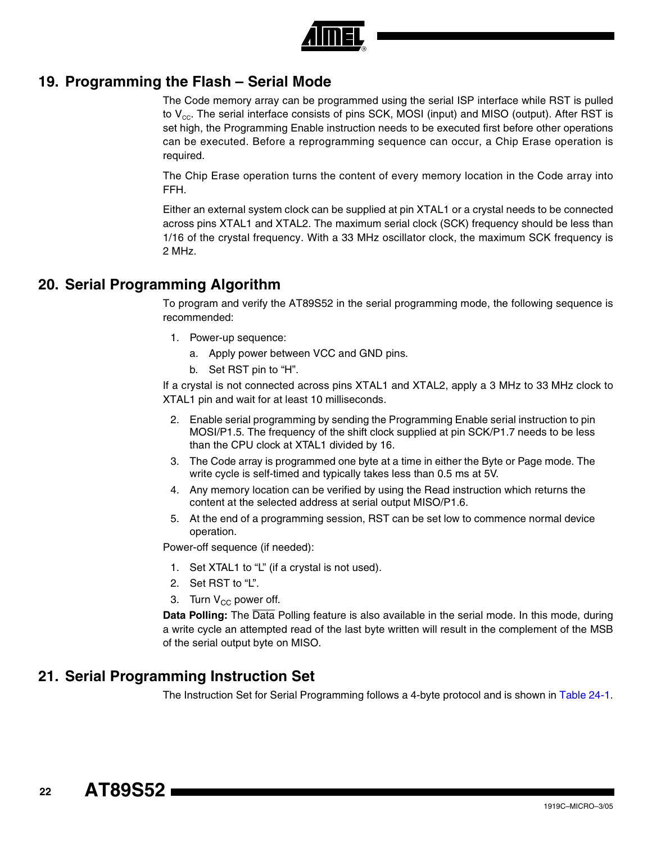

# **19. Programming the Flash – Serial Mode**

The Code memory array can be programmed using the serial ISP interface while RST is pulled to  $V_{\text{cc}}$ . The serial interface consists of pins SCK, MOSI (input) and MISO (output). After RST is set high, the Programming Enable instruction needs to be executed first before other operations can be executed. Before a reprogramming sequence can occur, a Chip Erase operation is required.

The Chip Erase operation turns the content of every memory location in the Code array into FFH.

Either an external system clock can be supplied at pin XTAL1 or a crystal needs to be connected across pins XTAL1 and XTAL2. The maximum serial clock (SCK) frequency should be less than 1/16 of the crystal frequency. With a 33 MHz oscillator clock, the maximum SCK frequency is 2 MHz.

# **20. Serial Programming Algorithm**

To program and verify the AT89S52 in the serial programming mode, the following sequence is recommended:

- 1. Power-up sequence:
	- a. Apply power between VCC and GND pins.
	- b. Set RST pin to "H".

If a crystal is not connected across pins XTAL1 and XTAL2, apply a 3 MHz to 33 MHz clock to XTAL1 pin and wait for at least 10 milliseconds.

- 2. Enable serial programming by sending the Programming Enable serial instruction to pin MOSI/P1.5. The frequency of the shift clock supplied at pin SCK/P1.7 needs to be less than the CPU clock at XTAL1 divided by 16.
- 3. The Code array is programmed one byte at a time in either the Byte or Page mode. The write cycle is self-timed and typically takes less than 0.5 ms at 5V.
- 4. Any memory location can be verified by using the Read instruction which returns the content at the selected address at serial output MISO/P1.6.
- 5. At the end of a programming session, RST can be set low to commence normal device operation.

Power-off sequence (if needed):

- 1. Set XTAL1 to "L" (if a crystal is not used).
- 2. Set RST to "L".
- 3. Turn  $V_{CC}$  power off.

**Data Polling:** The Data Polling feature is also available in the serial mode. In this mode, during a write cycle an attempted read of the last byte written will result in the complement of the MSB of the serial output byte on MISO.

# **21. Serial Programming Instruction Set**

The Instruction Set for Serial Programming follows a 4-byte protocol and is shown in [Table 24-1](#page-26-0).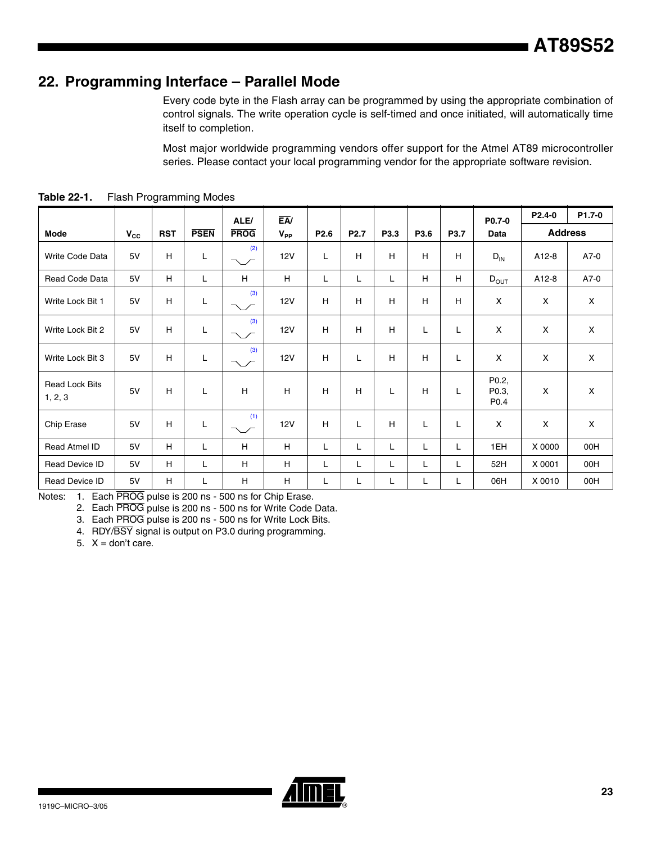# **22. Programming Interface – Parallel Mode**

Every code byte in the Flash array can be programmed by using the appropriate combination of control signals. The write operation cycle is self-timed and once initiated, will automatically time itself to completion.

Most major worldwide programming vendors offer support for the Atmel AT89 microcontroller series. Please contact your local programming vendor for the appropriate software revision.

|                                  |              |            |             | ALE/        | $E$ A/     |                  |                  |      |      |      | P0.7-0                             | P2.4-0         | P1.7-0      |
|----------------------------------|--------------|------------|-------------|-------------|------------|------------------|------------------|------|------|------|------------------------------------|----------------|-------------|
| <b>Mode</b>                      | $V_{\rm CC}$ | <b>RST</b> | <b>PSEN</b> | <b>PROG</b> | $V_{PP}$   | P <sub>2.6</sub> | P <sub>2.7</sub> | P3.3 | P3.6 | P3.7 | Data                               | <b>Address</b> |             |
| <b>Write Code Data</b>           | 5V           | H          | L           | (2)<br>╲╱   | <b>12V</b> | L                | H                | H    | H    | H    | $D_{IN}$                           | A12-8          | A7-0        |
| Read Code Data                   | 5V           | H          | L           | H           | H          | Г                | L                | L    | H    | H    | $D_{OUT}$                          | A12-8          | A7-0        |
| Write Lock Bit 1                 | 5V           | H          | L           | (3)         | <b>12V</b> | H                | H                | H    | H    | H    | X                                  | X              | X           |
| Write Lock Bit 2                 | 5V           | H          | L           | (3)         | 12V        | H                | H                | H    | L    | L    | X                                  | X              | X           |
| Write Lock Bit 3                 | 5V           | H          | L           | (3)<br>╲╱   | <b>12V</b> | H                | Г                | Н    | H    | L    | X                                  | X              | $\mathsf X$ |
| <b>Read Lock Bits</b><br>1, 2, 3 | 5V           | H          | L           | H           | H          | H                | H                | Г    | H    | L    | P0.2,<br>P0.3,<br>P <sub>0.4</sub> | X              | X           |
| Chip Erase                       | 5V           | H          | L           | (1)         | <b>12V</b> | H                | L                | H    | L    | L    | X                                  | X              | X           |
| Read Atmel ID                    | 5V           | H          | L           | H           | H          | L                | L                | Г    | Г    | L    | 1EH                                | X 0000         | 00H         |
| Read Device ID                   | 5V           | H          | L           | H           | н          | Г                | L                | L    | L    | L    | 52H                                | X 0001         | 00H         |
| Read Device ID                   | 5V           | H          | L.          | H           | H          | Г                | Г                | L    | L    | L    | 06H                                | X 0010         | 00H         |

<span id="page-22-0"></span>**Table 22-1.** Flash Programming Modes

<span id="page-22-3"></span><span id="page-22-2"></span><span id="page-22-1"></span>Notes: 1. Each PROG pulse is 200 ns - 500 ns for Chip Erase.

2. Each PROG pulse is 200 ns - 500 ns for Write Code Data.

3. Each PROG pulse is 200 ns - 500 ns for Write Lock Bits.

4. RDY/BSY signal is output on P3.0 during programming.

5.  $X =$  don't care.

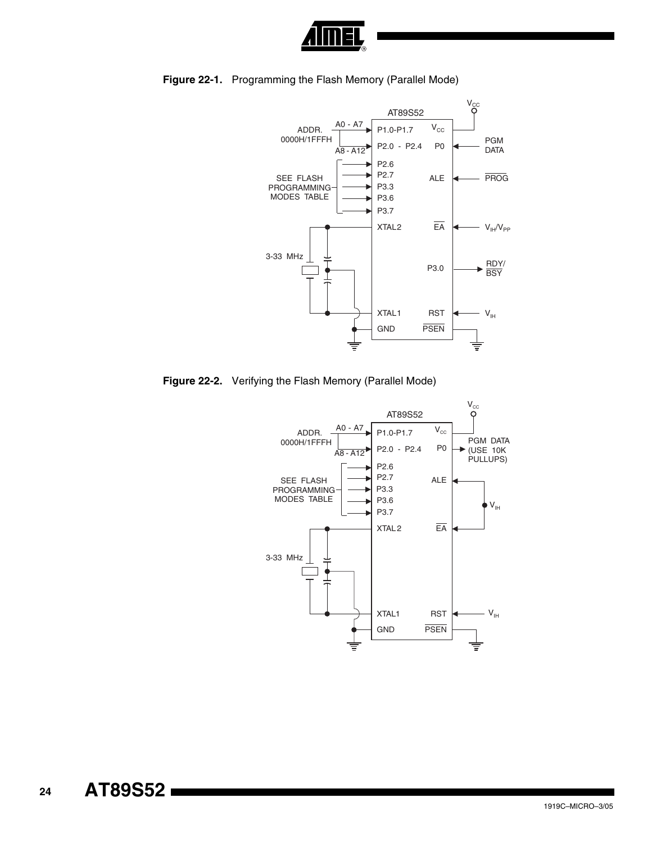



<span id="page-23-0"></span>**Figure 22-1.** Programming the Flash Memory (Parallel Mode)

<span id="page-23-1"></span>**Figure 22-2.** Verifying the Flash Memory (Parallel Mode)

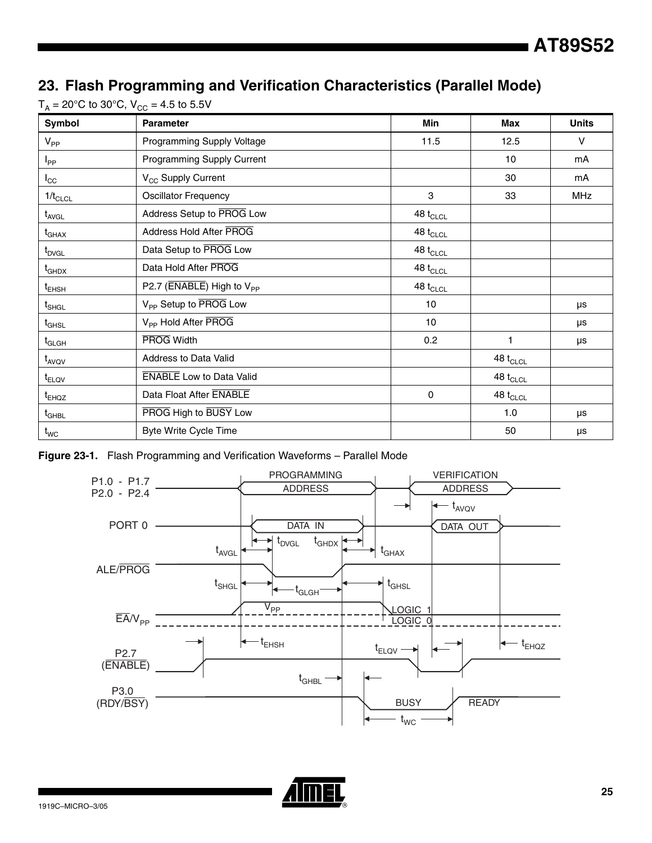# **23. Flash Programming and Verification Characteristics (Parallel Mode)**

| Symbol                          | <b>Parameter</b>                                            | <b>Min</b>                         | Max           | <b>Units</b> |
|---------------------------------|-------------------------------------------------------------|------------------------------------|---------------|--------------|
| $V_{PP}$                        | Programming Supply Voltage                                  | 11.5                               | 12.5          | $\vee$       |
| $I_{\mathsf{PP}}$               | Programming Supply Current                                  |                                    | 10            | mA           |
| $I_{\rm CC}$                    | V <sub>CC</sub> Supply Current                              |                                    | 30            | mA           |
| $1/t_{CLCL}$                    | <b>Oscillator Frequency</b>                                 | 3                                  | 33            | <b>MHz</b>   |
| $t_{AVGL}$                      | Address Setup to PROG Low                                   | 48 $t_{CLCL}$                      |               |              |
| $t_{\scriptstyle{\text{GHAX}}}$ | Address Hold After PROG                                     | 48 $t_{CLCL}$                      |               |              |
| $t_{\text{DVGL}}$               | Data Setup to PROG Low                                      | 48 $t_{\scriptstyle\textrm{CLCL}}$ |               |              |
| $t_{GHDX}$                      | Data Hold After PROG                                        | 48 $t_{\scriptstyle\textrm{CLCL}}$ |               |              |
| $t_{EHSH}$                      | P2.7 ( $\overline{\text{ENABLE}}$ ) High to $V_{\text{PP}}$ | 48 $t_{CLCL}$                      |               |              |
| $t_{\sf SHGL}$                  | V <sub>PP</sub> Setup to PROG Low                           | 10                                 |               | μs           |
| $t_{\scriptstyle\rm GHSL}$      | V <sub>PP</sub> Hold After PROG                             | 10                                 |               | μs           |
| $\mathsf{t}_{\mathsf{GLGH}}$    | <b>PROG Width</b>                                           | 0.2                                | 1             | μs           |
| $t_{AVQV}$                      | Address to Data Valid                                       |                                    | 48 $t_{CLCL}$ |              |
| $t_{ELOV}$                      | <b>ENABLE</b> Low to Data Valid                             |                                    | 48 $t_{CLCL}$ |              |
| t <sub>EHQZ</sub>               | Data Float After ENABLE                                     | $\mathbf 0$                        | 48 $t_{CLCL}$ |              |
| $t_{\scriptstyle\rm GHBL}$      | PROG High to BUSY Low                                       |                                    | 1.0           | μs           |
| $t_{WC}$                        | <b>Byte Write Cycle Time</b>                                |                                    | 50            | μs           |

 $T_A = 20^{\circ}$ C to 30°C,  $V_{CC} = 4.5$  to 5.5V





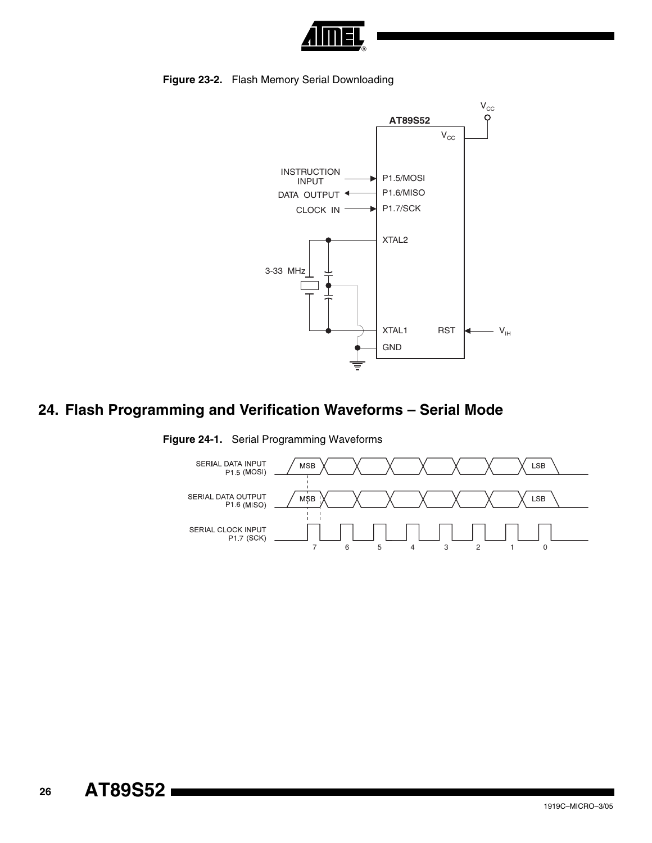

**Figure 23-2.** Flash Memory Serial Downloading



# **24. Flash Programming and Verification Waveforms – Serial Mode**



**Figure 24-1.** Serial Programming Waveforms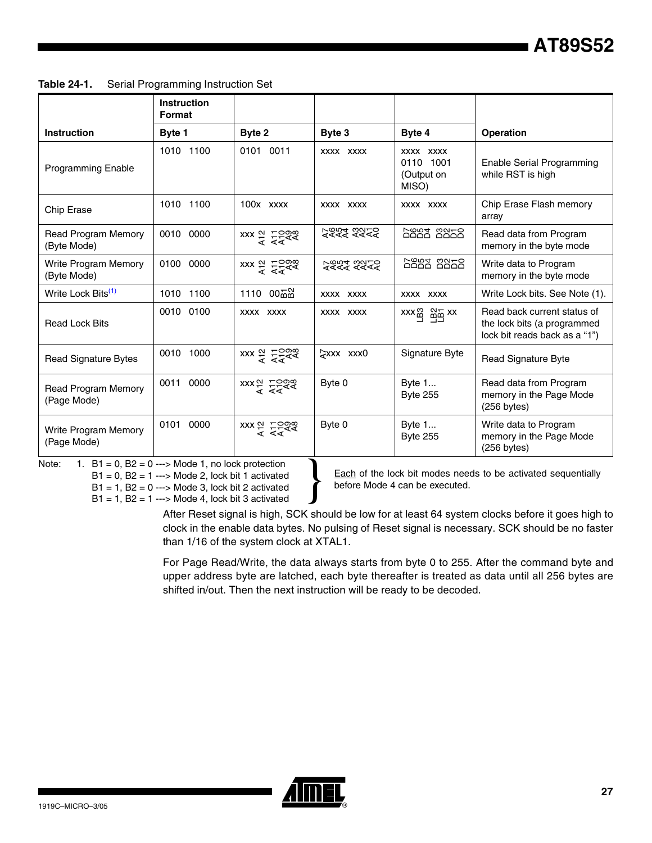<span id="page-26-0"></span>

| Table 24-1. | Serial Programming Instruction Set |  |  |
|-------------|------------------------------------|--|--|
|-------------|------------------------------------|--|--|

|                                            | <b>Instruction</b><br>Format |                                                                                                                                                                                                                                                                                                                        |                    |                                                |                                                                                             |
|--------------------------------------------|------------------------------|------------------------------------------------------------------------------------------------------------------------------------------------------------------------------------------------------------------------------------------------------------------------------------------------------------------------|--------------------|------------------------------------------------|---------------------------------------------------------------------------------------------|
| Instruction                                | Byte 1                       | Byte 2                                                                                                                                                                                                                                                                                                                 | Byte 3             | Byte 4                                         | <b>Operation</b>                                                                            |
| <b>Programming Enable</b>                  | 1010 1100                    | 0101 0011                                                                                                                                                                                                                                                                                                              | XXXX XXXX          | XXXX XXXX<br>0110 1001<br>(Output on<br>MISO)  | Enable Serial Programming<br>while RST is high                                              |
| Chip Erase                                 | 1010 1100                    | $100x$ $xxxx$                                                                                                                                                                                                                                                                                                          | XXXX XXXX          | XXXX XXXX                                      | Chip Erase Flash memory<br>array                                                            |
| <b>Read Program Memory</b><br>(Byte Mode)  | 0010 0000                    | $\frac{1}{4}$ xxx $\frac{1}{4}$ $\frac{1}{4}$ $\frac{1}{4}$ $\frac{1}{4}$ $\frac{1}{4}$ $\frac{1}{4}$ $\frac{1}{4}$ $\frac{1}{4}$ $\frac{1}{4}$ $\frac{1}{4}$ $\frac{1}{4}$ $\frac{1}{4}$ $\frac{1}{4}$ $\frac{1}{4}$ $\frac{1}{4}$ $\frac{1}{4}$ $\frac{1}{4}$ $\frac{1}{4}$ $\frac{1}{4}$ $\frac{1}{4}$ $\frac{1}{4$ | 5222 2222          | <b>6883 8858</b>                               | Read data from Program<br>memory in the byte mode                                           |
| <b>Write Program Memory</b><br>(Byte Mode) | 0100 0000                    | $\frac{1}{2}$ xxx $\frac{1}{2}$ $\frac{1}{2}$ $\frac{1}{2}$ $\frac{1}{2}$ $\frac{1}{2}$ $\frac{1}{2}$ $\frac{1}{2}$ $\frac{1}{2}$ $\frac{1}{2}$ $\frac{1}{2}$ $\frac{1}{2}$ $\frac{1}{2}$ $\frac{1}{2}$ $\frac{1}{2}$ $\frac{1}{2}$ $\frac{1}{2}$ $\frac{1}{2}$ $\frac{1}{2}$ $\frac{1}{2}$ $\frac{1}{2}$ $\frac{1}{2$ | 2222 2222          | bont nata                                      | Write data to Program<br>memory in the byte mode                                            |
| Write Lock Bits <sup>(1)</sup>             | 1010 1100                    | 1110 00굶없                                                                                                                                                                                                                                                                                                              | XXXX XXXX          | XXXX XXXX                                      | Write Lock bits. See Note (1).                                                              |
| <b>Read Lock Bits</b>                      | 0010 0100                    | XXXX XXXX                                                                                                                                                                                                                                                                                                              | XXXX XXXX          | $xx \times \frac{30}{10}$ $\frac{35}{10}$ $xx$ | Read back current status of<br>the lock bits (a programmed<br>lock bit reads back as a "1") |
| <b>Read Signature Bytes</b>                | 0010 1000                    | $\frac{1}{x}$ xxx $\frac{1}{x}$ $\frac{1}{x}$ $\frac{1}{x}$ $\frac{1}{x}$ $\frac{1}{x}$ $\frac{1}{x}$ $\frac{1}{x}$ $\frac{1}{x}$ $\frac{1}{x}$ $\frac{1}{x}$ $\frac{1}{x}$ $\frac{1}{x}$ $\frac{1}{x}$ $\frac{1}{x}$ $\frac{1}{x}$ $\frac{1}{x}$ $\frac{1}{x}$ $\frac{1}{x}$ $\frac{1}{x}$ $\frac{1}{x}$ $\frac{1}{x$ | $\forall$ xxx xxx0 | Signature Byte                                 | Read Signature Byte                                                                         |
| <b>Read Program Memory</b><br>(Page Mode)  | 0000<br>0011                 | $\begin{array}{r} x x x \stackrel{\alpha}{\sim} 7588 \\ x x \overline{) } 7588 \end{array}$                                                                                                                                                                                                                            | Byte 0             | Byte 1<br><b>Byte 255</b>                      | Read data from Program<br>memory in the Page Mode<br>$(256$ bytes)                          |
| <b>Write Program Memory</b><br>(Page Mode) | 0101 0000                    | $\frac{1}{4}$ xxx $\frac{1}{4}$ $\frac{1}{4}$ $\frac{1}{4}$ $\frac{1}{4}$ $\frac{1}{4}$ $\frac{1}{4}$ $\frac{1}{4}$ $\frac{1}{4}$ $\frac{1}{4}$ $\frac{1}{4}$ $\frac{1}{4}$ $\frac{1}{4}$ $\frac{1}{4}$ $\frac{1}{4}$ $\frac{1}{4}$ $\frac{1}{4}$ $\frac{1}{4}$ $\frac{1}{4}$ $\frac{1}{4}$ $\frac{1}{4}$ $\frac{1}{4$ | Byte 0             | Byte 1<br><b>Byte 255</b>                      | Write data to Program<br>memory in the Page Mode<br>$(256 \text{ bytes})$                   |

<span id="page-26-1"></span>Note:  $1. \text{ B1} = 0. \text{ B2} = 0 \rightarrow \text{Mode 1}$ , no lock protection

 $B1 = 0$ ,  $B2 = 1$  ---> Mode 2, lock bit 1 activated  $B1 = 1$ ,  $B2 = 0$  ---> Mode 3, lock bit 2 activated

 $B1 = 1$ ,  $B2 = 1$  ---> Mode 4, lock bit 3 activated

Each of the lock bit modes needs to be activated sequentially before Mode 4 can be executed.

After Reset signal is high, SCK should be low for at least 64 system clocks before it goes high to clock in the enable data bytes. No pulsing of Reset signal is necessary. SCK should be no faster than 1/16 of the system clock at XTAL1.

For Page Read/Write, the data always starts from byte 0 to 255. After the command byte and upper address byte are latched, each byte thereafter is treated as data until all 256 bytes are shifted in/out. Then the next instruction will be ready to be decoded.

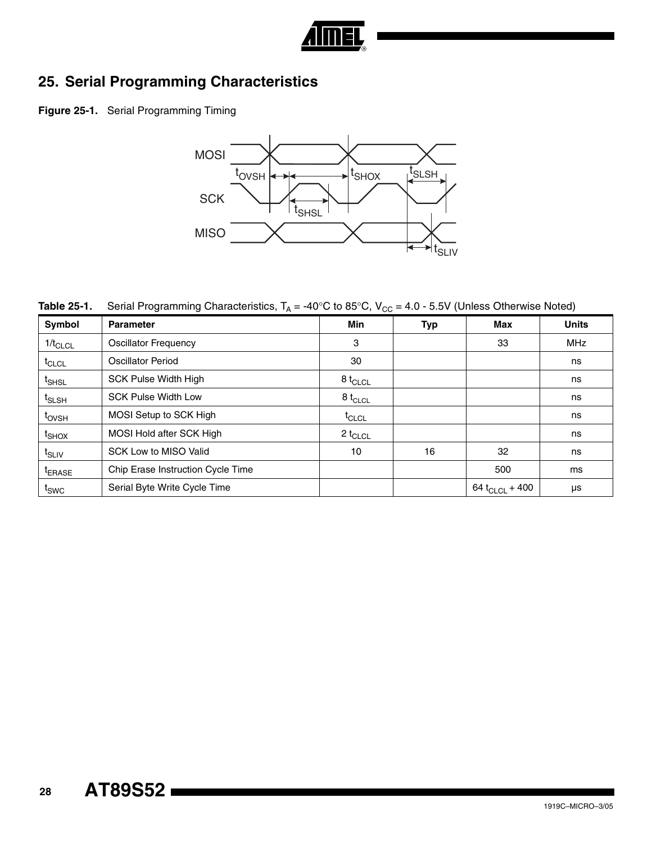

# **25. Serial Programming Characteristics**

**Figure 25-1.** Serial Programming Timing



**Table 25-1.** Serial Programming Characteristics,  $T_A = -40^{\circ}C$  to 85°C,  $V_{CC} = 4.0 - 5.5V$  (Unless Otherwise Noted)

| Symbol             | <b>Parameter</b>                  | <b>Min</b>          | <b>Typ</b> | Max                 | <b>Units</b> |
|--------------------|-----------------------------------|---------------------|------------|---------------------|--------------|
| $1/t_{CLCL}$       | <b>Oscillator Frequency</b>       | 3                   |            | 33                  | <b>MHz</b>   |
| t <sub>CLCL</sub>  | Oscillator Period                 | 30                  |            |                     | ns           |
| <sup>t</sup> SHSL  | <b>SCK Pulse Width High</b>       | 8 t <sub>CLCL</sub> |            |                     | ns           |
| t <sub>SLSH</sub>  | <b>SCK Pulse Width Low</b>        | 8 t <sub>CLCL</sub> |            |                     | ns           |
| t <sub>ovsh</sub>  | MOSI Setup to SCK High            | $t_{CLCL}$          |            |                     | ns           |
| <sup>t</sup> SHOX  | MOSI Hold after SCK High          | 2 t <sub>CLCL</sub> |            |                     | ns           |
| t <sub>SLIV</sub>  | <b>SCK Low to MISO Valid</b>      | 10                  | 16         | 32                  | ns           |
| <sup>t</sup> ERASE | Chip Erase Instruction Cycle Time |                     |            | 500                 | ms           |
| $t_{SWC}$          | Serial Byte Write Cycle Time      |                     |            | 64 $t_{CLCL}$ + 400 | μs           |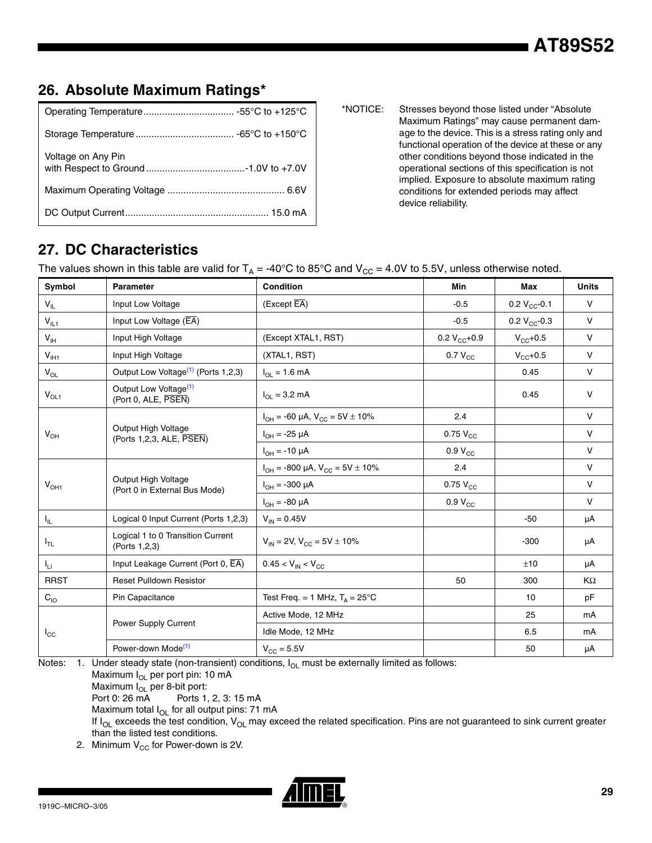# **26. Absolute Maximum Ratings\***

| Voltage on Any Pin |  |
|--------------------|--|
|                    |  |
|                    |  |

\*NOTICE: Stresses beyond those listed under "Absolute Maximum Ratings" may cause permanent damage to the device. This is a stress rating only and functional operation of the device at these or any other conditions beyond those indicated in the operational sections of this specification is not implied. Exposure to absolute maximum rating conditions for extended periods may affect device reliability.

# **27. DC Characteristics**

The values shown in this table are valid for  $T_A = -40^{\circ}C$  to 85°C and  $V_{CC} = 4.0V$  to 5.5V, unless otherwise noted.

| Symbol                     | Parameter                                                | Condition                                  | Min               | Max               | <b>Units</b> |
|----------------------------|----------------------------------------------------------|--------------------------------------------|-------------------|-------------------|--------------|
| $V_{IL}$                   | Input Low Voltage                                        | (Except EA)                                | $-0.5$            | 0.2 $V_{CC}$ -0.1 | $\mathsf{V}$ |
| $V_{IL1}$                  | Input Low Voltage (EA)                                   |                                            | $-0.5$            | 0.2 $V_{CC}$ -0.3 | $\mathsf{V}$ |
| $\mathsf{V}_{\mathsf{IH}}$ | Input High Voltage                                       | (Except XTAL1, RST)                        | 0.2 $V_{CC}$ +0.9 | $V_{CC}$ +0.5     | $\mathsf{V}$ |
| $V_{I H1}$                 | Input High Voltage                                       | (XTAL1, RST)                               | $0.7 V_{CC}$      | $V_{CC}$ +0.5     | $\vee$       |
| $V_{OL}$                   | Output Low Voltage <sup>(1)</sup> (Ports 1,2,3)          | $I_{OL} = 1.6 \text{ mA}$                  |                   | 0.45              | $\mathsf{V}$ |
| $V_{OL1}$                  | Output Low Voltage <sup>(1)</sup><br>(Port 0, ALE, PSEN) | $I_{\Omega} = 3.2 \text{ mA}$              |                   | 0.45              | $\mathsf{V}$ |
|                            |                                                          | $I_{OH}$ = -60 µA, $V_{CC}$ = 5V $\pm$ 10% | 2.4               |                   | $\mathsf{V}$ |
| $V_{OH}$                   | Output High Voltage<br>(Ports 1,2,3, ALE, PSEN)          | $I_{OH} = -25 \mu A$                       | $0.75 V_{CC}$     |                   | $\vee$       |
|                            |                                                          | $I_{OH} = -10 \mu A$                       | $0.9 V_{CC}$      |                   | $\vee$       |
|                            |                                                          | $I_{OH}$ = -800 µA, $V_{CC}$ = 5V ± 10%    | 2.4               |                   | $\mathsf{V}$ |
| $V_{OH1}$                  | Output High Voltage<br>(Port 0 in External Bus Mode)     | $I_{OH} = -300 \mu A$                      | $0.75 V_{CC}$     |                   | $\vee$       |
|                            |                                                          | $I_{OH} = -80 \mu A$                       | $0.9 V_{CC}$      |                   | $\mathsf{V}$ |
| $I_{\parallel L}$          | Logical 0 Input Current (Ports 1,2,3)                    | $V_{IN} = 0.45V$                           |                   | $-50$             | μA           |
| $I_{TL}$                   | Logical 1 to 0 Transition Current<br>(Ports 1,2,3)       | $V_{IN}$ = 2V, $V_{CC}$ = 5V $\pm$ 10%     |                   | $-300$            | μA           |
| $I_{\rm LI}$               | Input Leakage Current (Port 0, EA)                       | $0.45 < V_{IN} < V_{CC}$                   |                   | ±10               | μA           |
| <b>RRST</b>                | <b>Reset Pulldown Resistor</b>                           |                                            | 50                | 300               | KΩ           |
| $C_{10}$                   | Pin Capacitance                                          | Test Freq. = 1 MHz, $T_A = 25^{\circ}C$    |                   | 10                | pF           |
|                            |                                                          | Active Mode, 12 MHz                        |                   | 25                | mA           |
| $I_{\rm CC}$               | Power Supply Current                                     | Idle Mode, 12 MHz                          |                   | 6.5               | mA           |
|                            | Power-down Mode <sup>(1)</sup>                           | $V_{CC} = 5.5V$                            |                   | 50                | μA           |

<span id="page-28-0"></span>Notes:  $1.$  Under steady state (non-transient) conditions,  $I_{OL}$  must be externally limited as follows: Maximum  $I_{OL}$  per port pin: 10 mA

Maximum  $I_{OL}$  per 8-bit port:<br>Port 0: 26 mA Ports 1, Ports 1, 2, 3: 15 mA

Maximum total  $I_{OL}$  for all output pins: 71 mA

If  $I_{OL}$  exceeds the test condition,  $V_{OL}$  may exceed the related specification. Pins are not guaranteed to sink current greater than the listed test conditions.

2. Minimum  $V_{CC}$  for Power-down is 2V.

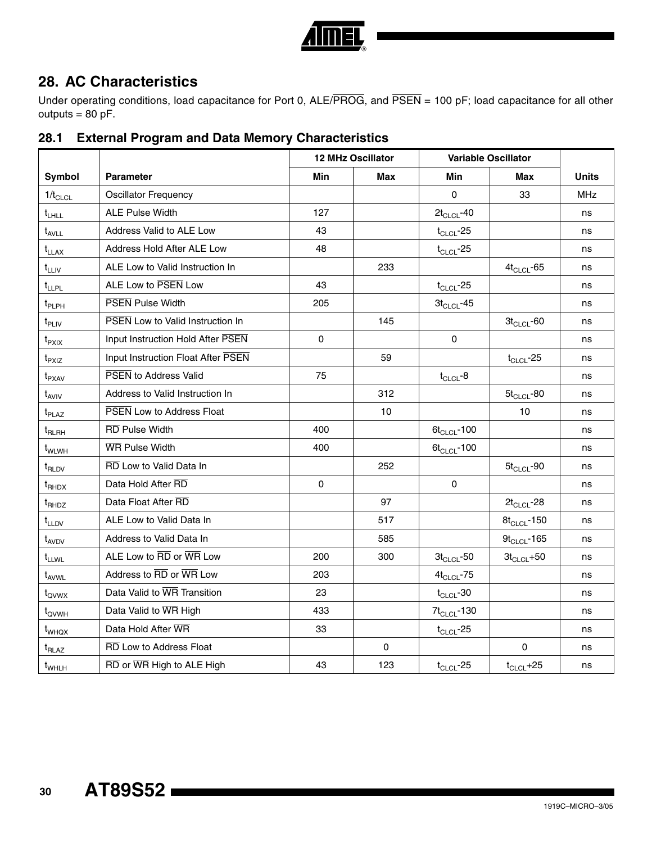

# **28. AC Characteristics**

Under operating conditions, load capacitance for Port 0, ALE/PROG, and PSEN = 100 pF; load capacitance for all other outputs  $= 80$  pF.

|                                |                                         |             | <b>12 MHz Oscillator</b> |                  | <b>Variable Oscillator</b> |              |
|--------------------------------|-----------------------------------------|-------------|--------------------------|------------------|----------------------------|--------------|
| Symbol                         | <b>Parameter</b>                        | Min         | <b>Max</b>               | Min              | Max                        | <b>Units</b> |
| $1/t_{CLCL}$                   | <b>Oscillator Frequency</b>             |             |                          | 0                | 33                         | <b>MHz</b>   |
| $t_{LHLL}$                     | <b>ALE Pulse Width</b>                  | 127         |                          | $2t_{CLCL}$ -40  |                            | ns           |
| $t_{AVLL}$                     | Address Valid to ALE Low                | 43          |                          | $t_{CLCL}$ -25   |                            | ns           |
| $t_{LLAX}$                     | Address Hold After ALE Low              | 48          |                          | $t_{CLCL}$ -25   |                            | ns           |
| $t_{LLIV}$                     | ALE Low to Valid Instruction In         |             | 233                      |                  | $4t_{CLCL}$ -65            | ns           |
| $t_{LLPL}$                     | ALE Low to PSEN Low                     | 43          |                          | $t_{CLCL}$ -25   |                            | ns           |
| $t_{\sf PLPH}$                 | <b>PSEN</b> Pulse Width                 | 205         |                          | $3t_{CLCL}$ -45  |                            | ns           |
| $t_{\mathsf{PLIV}}$            | <b>PSEN Low to Valid Instruction In</b> |             | 145                      |                  | $3t_{CLCL}$ -60            | ns           |
| t <sub>PXIX</sub>              | Input Instruction Hold After PSEN       | $\mathbf 0$ |                          | $\mathbf 0$      |                            | ns           |
| $t_{PXIZ}$                     | Input Instruction Float After PSEN      |             | 59                       |                  | $t_{CLCL}$ -25             | ns           |
| $t_{\sf P XAV}$                | <b>PSEN</b> to Address Valid            | 75          |                          | $t_{CLCL}$ -8    |                            | ns           |
| $t_{AVIV}$                     | Address to Valid Instruction In         | 312         |                          |                  | $5t_{CLCL}$ -80            | ns           |
| $t_{\text{PLAZ}}$              | PSEN Low to Address Float               | 10          |                          |                  | 10                         | ns           |
| $\mathfrak{t}_{\mathsf{RLRH}}$ | <b>RD Pulse Width</b>                   | 400         |                          | $6t_{CLCL}$ -100 |                            | ns           |
| t <sub>WLWH</sub>              | <b>WR Pulse Width</b>                   | 400         |                          | $6t_{CLCL}$ -100 |                            | ns           |
| $t_{\sf RLDV}$                 | RD Low to Valid Data In                 |             | 252                      |                  | $5t_{CLCL}$ -90            | ns           |
| $t_{\text{RHDX}}$              | Data Hold After RD                      | $\mathbf 0$ |                          | $\mathbf 0$      |                            | ns           |
| t <sub>RHDZ</sub>              | Data Float After RD                     |             | 97                       |                  | $2t_{CLCL}$ -28            | ns           |
| $t_{LLDV}$                     | ALE Low to Valid Data In                |             | 517                      |                  | $8t_{CLCL}$ -150           | ns           |
| t <sub>AVDV</sub>              | Address to Valid Data In                |             | 585                      |                  | $9t_{CLCL}$ -165           | ns           |
| t <sub>LLWL</sub>              | ALE Low to RD or WR Low                 | 200         | 300                      | $3t_{CLCL}$ -50  | $3t_{CLCL} + 50$           | ns           |
| t <sub>AVWL</sub>              | Address to RD or WR Low                 | 203         |                          | $4t_{CLCL}$ -75  |                            | ns           |
| t <sub>ovwx</sub>              | Data Valid to WR Transition             | 23          |                          | $t_{CLCL}$ -30   |                            | ns           |
| t <sub>QVWH</sub>              | Data Valid to WR High                   | 433         |                          | $7t_{CLCL}$ -130 |                            | ns           |
| t <sub>WHQX</sub>              | Data Hold After WR                      | 33          |                          | $t_{CLCL}$ -25   |                            | ns           |
| $t_{\sf RLAZ}$                 | RD Low to Address Float                 |             | $\pmb{0}$                |                  | $\pmb{0}$                  | ns           |
| $t_{WHLH}$                     | RD or WR High to ALE High               | 43          | 123                      | $t_{CLCL}$ -25   | $t_{CLCL} + 25$            | ns           |

# **28.1 External Program and Data Memory Characteristics**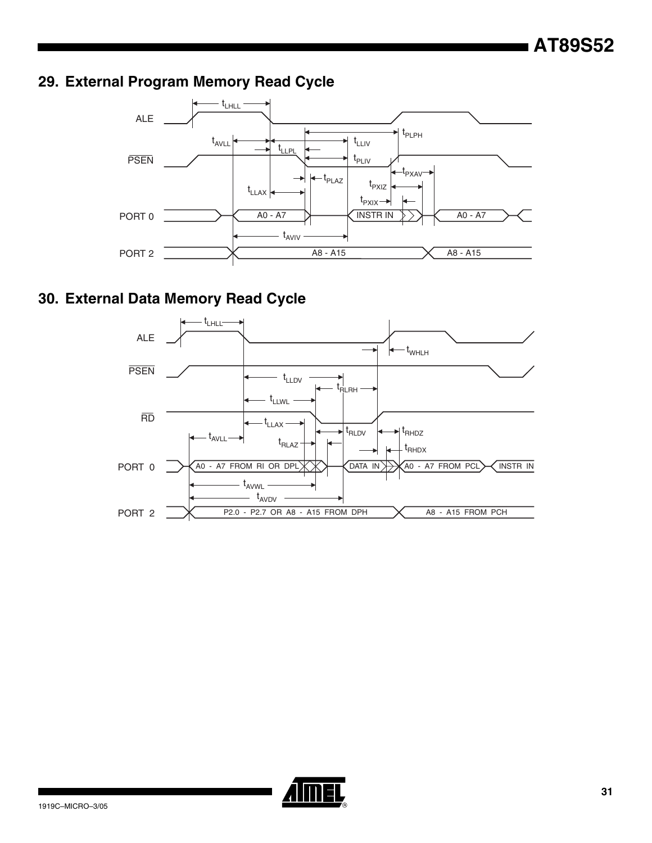# **29. External Program Memory Read Cycle**



# **30. External Data Memory Read Cycle**



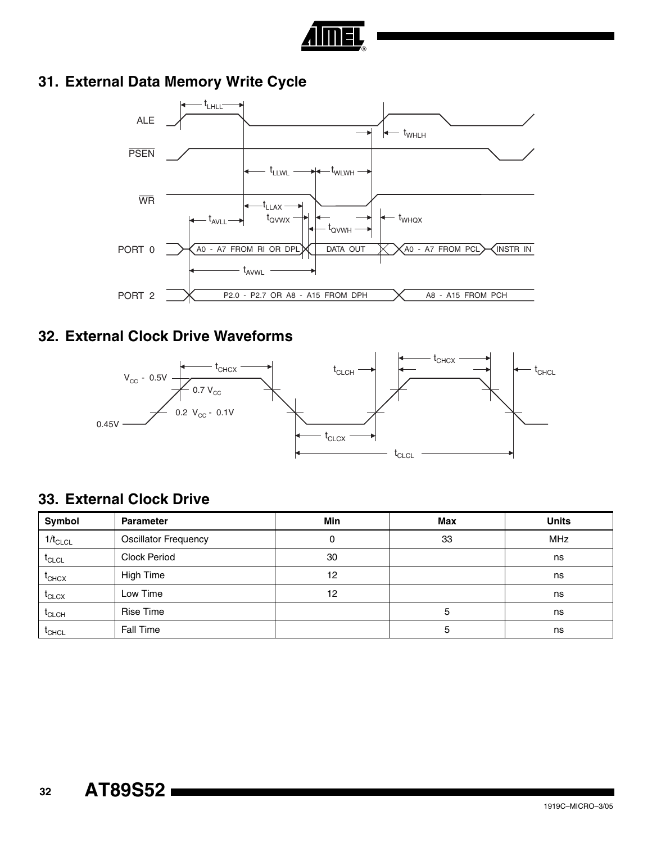

# **31. External Data Memory Write Cycle**



# **32. External Clock Drive Waveforms**



# **33. External Clock Drive**

| Symbol            | <b>Parameter</b>            | <b>Min</b> | <b>Max</b> | <b>Units</b> |
|-------------------|-----------------------------|------------|------------|--------------|
| $1/t_{CLCL}$      | <b>Oscillator Frequency</b> | 0          | 33         | <b>MHz</b>   |
| $t_{CLCL}$        | <b>Clock Period</b>         | 30         |            | ns           |
| $t_{CHCX}$        | <b>High Time</b>            | 12         |            | ns           |
| $I_{CLCX}$        | Low Time                    | 12         |            | ns           |
| $I_{CLCH}$        | <b>Rise Time</b>            |            | 5          | ns           |
| <sup>I</sup> CHCL | Fall Time                   |            | 5          | ns           |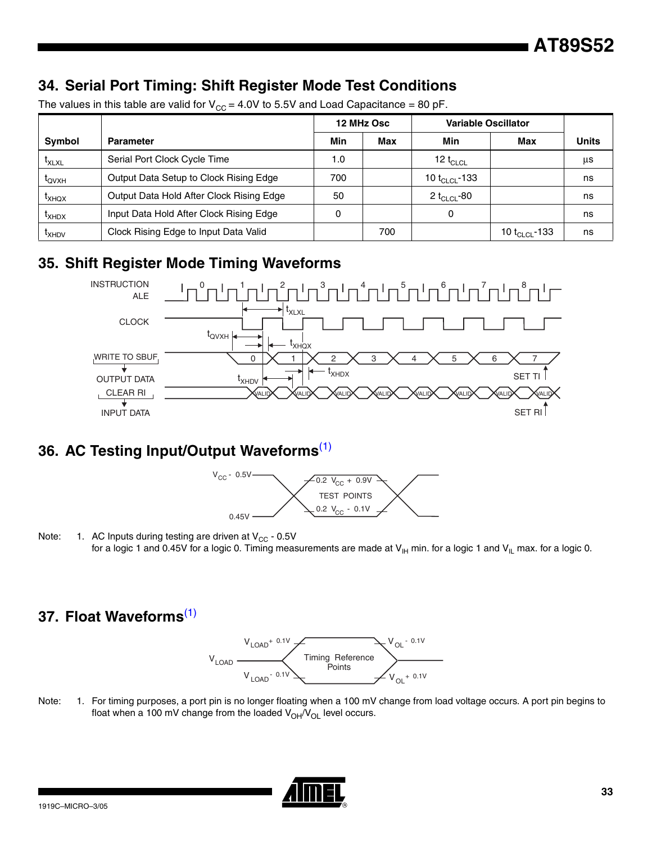# **34. Serial Port Timing: Shift Register Mode Test Conditions**

|                                |                                          |     | 12 MHz Osc | <b>Variable Oscillator</b> |                           |              |
|--------------------------------|------------------------------------------|-----|------------|----------------------------|---------------------------|--------------|
| Symbol                         | <b>Parameter</b>                         | Min | Max        | Min                        | Max                       | <b>Units</b> |
| $\mathfrak{r}_{\mathsf{XLXL}}$ | Serial Port Clock Cycle Time             | 1.0 |            | 12 $t_{CLCL}$              |                           | us           |
| $t_{\text{OVXH}}$              | Output Data Setup to Clock Rising Edge   | 700 |            | 10 t <sub>CLCL</sub> -133  |                           | ns           |
| $I_{XHOX}$                     | Output Data Hold After Clock Rising Edge | 50  |            | 2 t <sub>CLCL</sub> -80    |                           | ns           |
| <sup>L</sup> XHDX              | Input Data Hold After Clock Rising Edge  |     |            | 0                          |                           | ns           |
| <sup>L</sup> XHDV              | Clock Rising Edge to Input Data Valid    |     | 700        |                            | 10 t <sub>CLCL</sub> -133 | ns           |

The values in this table are valid for  $V_{CC} = 4.0V$  to 5.5V and Load Capacitance = 80 pF.

# **35. Shift Register Mode Timing Waveforms**



# **36. AC Testing Input/Output Waveforms**[\(1\)](#page-32-0)



<span id="page-32-0"></span>Note: 1. AC Inputs during testing are driven at  $V_{CC}$  - 0.5V for a logic 1 and 0.45V for a logic 0. Timing measurements are made at  $V_H$  min. for a logic 1 and  $V_{IL}$  max. for a logic 0.

# **37. Float Waveforms**[\(1\)](#page-32-1)



<span id="page-32-1"></span>Note: 1. For timing purposes, a port pin is no longer floating when a 100 mV change from load voltage occurs. A port pin begins to float when a 100 mV change from the loaded  $V_{OH}/V_{OL}$  level occurs.

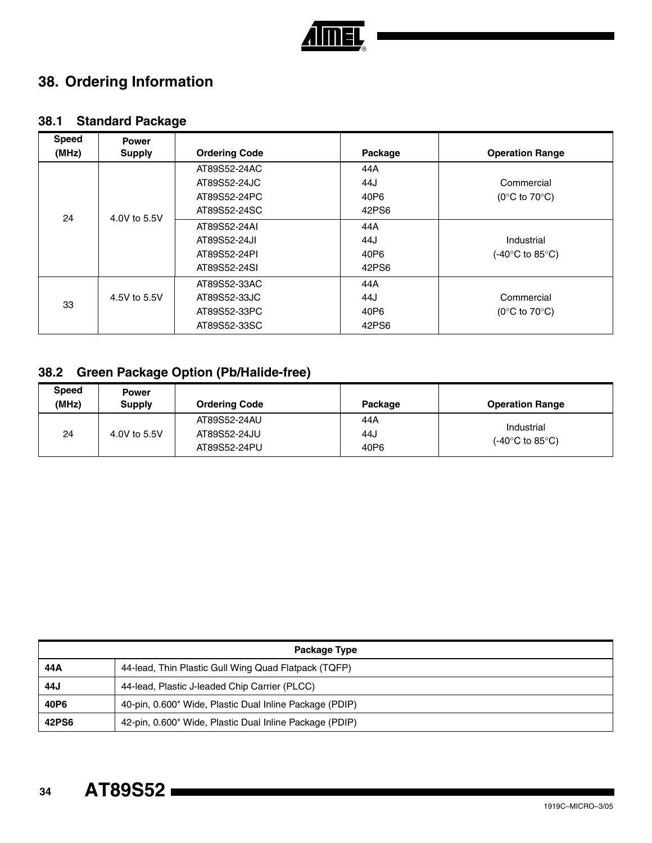

# **38. Ordering Information**

# **38.1 Standard Package**

| <b>Speed</b><br>(MHz) | <b>Power</b><br><b>Supply</b> | <b>Ordering Code</b> | Package | <b>Operation Range</b>              |
|-----------------------|-------------------------------|----------------------|---------|-------------------------------------|
|                       |                               | AT89S52-24AC         | 44A     |                                     |
|                       |                               | AT89S52-24JC         | 44J     | Commercial                          |
|                       |                               | AT89S52-24PC         | 40P6    | (0 $\degree$ C to 70 $\degree$ C)   |
| 24                    | 4.0V to 5.5V                  | AT89S52-24SC         | 42PS6   |                                     |
|                       |                               | AT89S52-24AI         | 44A     |                                     |
|                       |                               | AT89S52-24JI         | 44J     | Industrial                          |
|                       |                               | AT89S52-24PI         | 40P6    | (-40 $\degree$ C to 85 $\degree$ C) |
|                       |                               | AT89S52-24SI         | 42PS6   |                                     |
|                       |                               | AT89S52-33AC         | 44A     |                                     |
|                       | 4.5V to 5.5V                  | AT89S52-33JC         | 44J     | Commercial                          |
| 33                    |                               | AT89S52-33PC         | 40P6    | (0 $\degree$ C to 70 $\degree$ C)   |
|                       |                               | AT89S52-33SC         | 42PS6   |                                     |

# **38.2 Green Package Option (Pb/Halide-free)**

| <b>Speed</b><br>(MHz) | <b>Power</b><br><b>Supply</b> | <b>Ordering Code</b> | Package | <b>Operation Range</b>                                 |
|-----------------------|-------------------------------|----------------------|---------|--------------------------------------------------------|
| 24                    | 4.0V to 5.5V                  | AT89S52-24AU         | 44A     | Industrial<br>$(-40^{\circ}C \text{ to } 85^{\circ}C)$ |
|                       |                               | AT89S52-24JU         | 44J     |                                                        |
|                       |                               | AT89S52-24PU         | 40P6    |                                                        |

| Package Type |                                                         |  |  |  |
|--------------|---------------------------------------------------------|--|--|--|
| 44 A         | 44-lead, Thin Plastic Gull Wing Quad Flatpack (TQFP)    |  |  |  |
| 44J          | 44-lead, Plastic J-leaded Chip Carrier (PLCC)           |  |  |  |
| 40P6         | 40-pin, 0.600" Wide, Plastic Dual Inline Package (PDIP) |  |  |  |
| 42PS6        | 42-pin, 0.600" Wide, Plastic Dual Inline Package (PDIP) |  |  |  |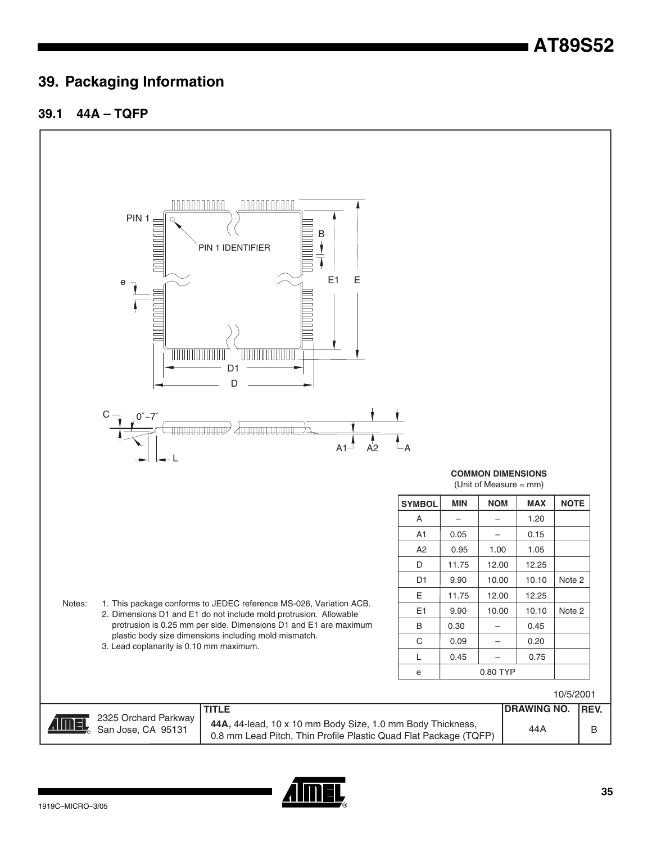# **39. Packaging Information**

#### **39.1 44A – TQFP**



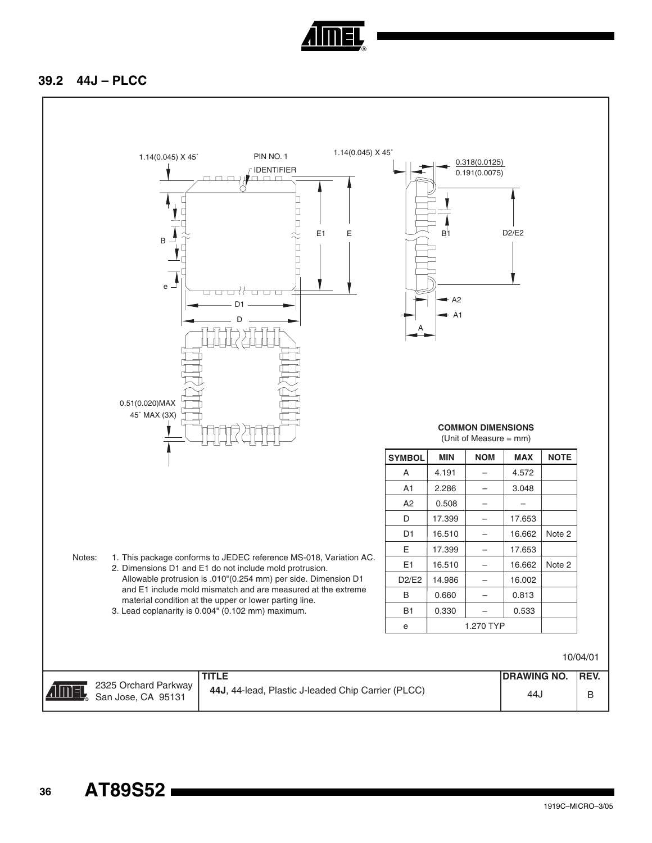

#### **39.2 44J – PLCC**

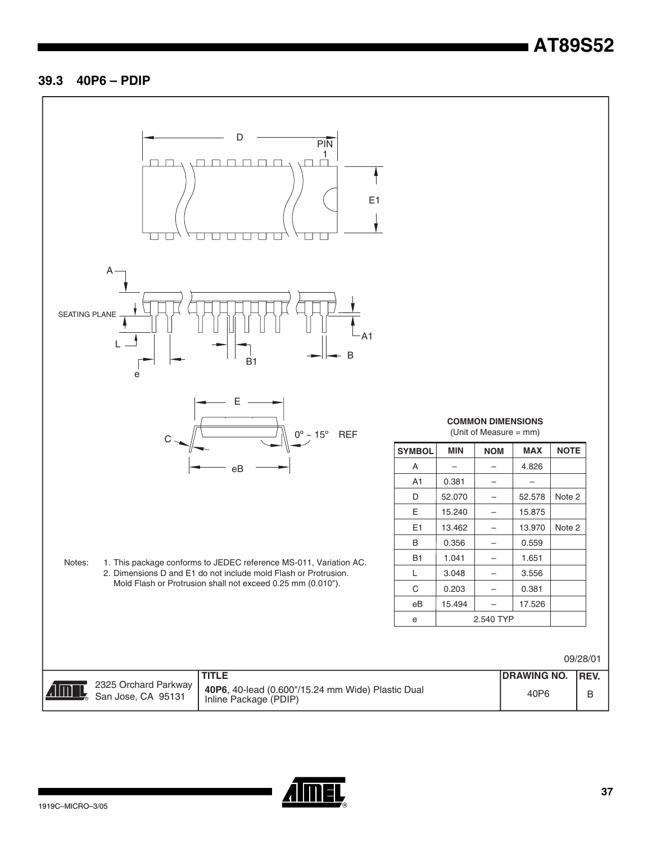#### **39.3 40P6 – PDIP**



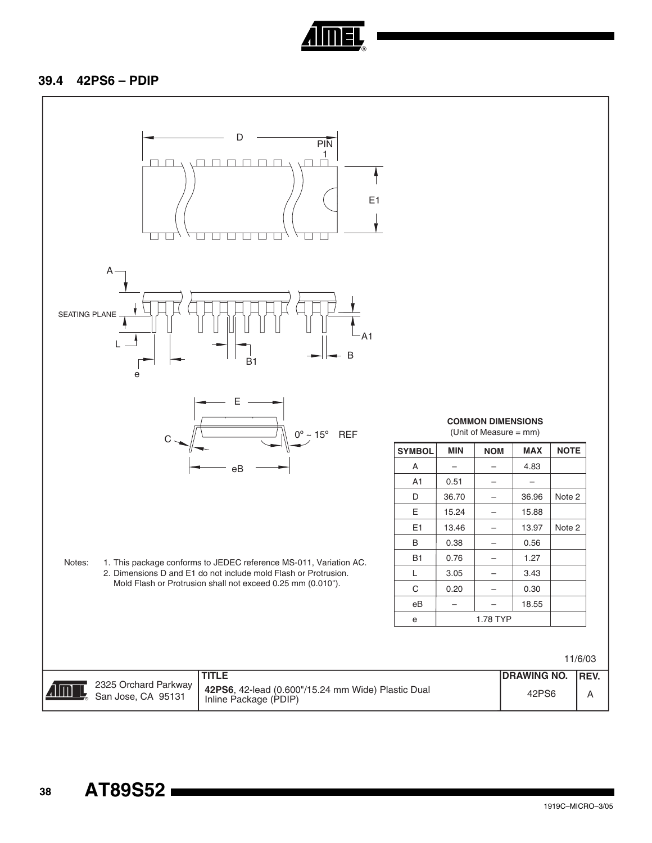

#### **39.4 42PS6 – PDIP**



 **38**